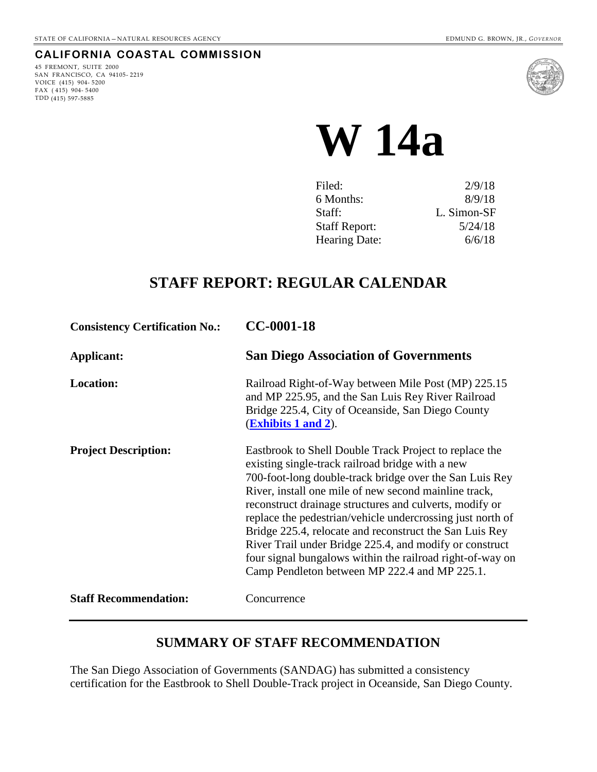### **CALIFORNIA COASTAL COMMISSION**

45 FREMONT, SUITE 2000 SAN FRANCISCO, CA 94105- 2219 VOICE (415) 904- 5200 FAX  $(415)$  904-5400 TDD (415) 597-5885



**W 14a** 

| Filed:               | 2/9/18      |
|----------------------|-------------|
| 6 Months:            | 8/9/18      |
| Staff:               | L. Simon-SF |
| <b>Staff Report:</b> | 5/24/18     |
| Hearing Date:        | 6/6/18      |
|                      |             |

## **STAFF REPORT: REGULAR CALENDAR**

| <b>Consistency Certification No.:</b> | CC-0001-18                                                                                                                                                                                                                                                                                                                                                                                                                                                                                                                                                                                  |
|---------------------------------------|---------------------------------------------------------------------------------------------------------------------------------------------------------------------------------------------------------------------------------------------------------------------------------------------------------------------------------------------------------------------------------------------------------------------------------------------------------------------------------------------------------------------------------------------------------------------------------------------|
| Applicant:                            | <b>San Diego Association of Governments</b>                                                                                                                                                                                                                                                                                                                                                                                                                                                                                                                                                 |
| <b>Location:</b>                      | Railroad Right-of-Way between Mile Post (MP) 225.15<br>and MP 225.95, and the San Luis Rey River Railroad<br>Bridge 225.4, City of Oceanside, San Diego County<br><b>(Exhibits 1 and 2).</b>                                                                                                                                                                                                                                                                                                                                                                                                |
| <b>Project Description:</b>           | Eastbrook to Shell Double Track Project to replace the<br>existing single-track railroad bridge with a new<br>700-foot-long double-track bridge over the San Luis Rey<br>River, install one mile of new second mainline track,<br>reconstruct drainage structures and culverts, modify or<br>replace the pedestrian/vehicle undercrossing just north of<br>Bridge 225.4, relocate and reconstruct the San Luis Rey<br>River Trail under Bridge 225.4, and modify or construct<br>four signal bungalows within the railroad right-of-way on<br>Camp Pendleton between MP 222.4 and MP 225.1. |
| <b>Staff Recommendation:</b>          | Concurrence                                                                                                                                                                                                                                                                                                                                                                                                                                                                                                                                                                                 |

### **SUMMARY OF STAFF RECOMMENDATION**

The San Diego Association of Governments (SANDAG) has submitted a consistency certification for the Eastbrook to Shell Double-Track project in Oceanside, San Diego County.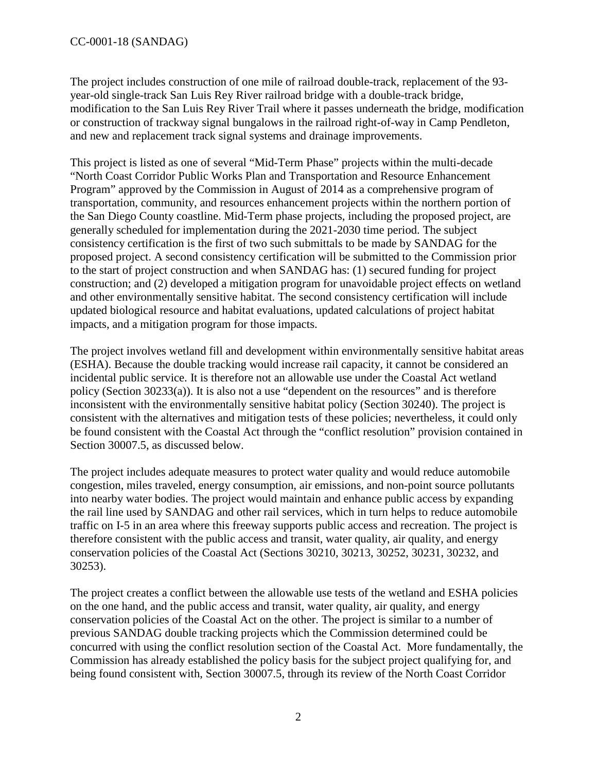The project includes construction of one mile of railroad double-track, replacement of the 93 year-old single-track San Luis Rey River railroad bridge with a double-track bridge, modification to the San Luis Rey River Trail where it passes underneath the bridge, modification or construction of trackway signal bungalows in the railroad right-of-way in Camp Pendleton, and new and replacement track signal systems and drainage improvements.

This project is listed as one of several "Mid-Term Phase" projects within the multi-decade "North Coast Corridor Public Works Plan and Transportation and Resource Enhancement Program" approved by the Commission in August of 2014 as a comprehensive program of transportation, community, and resources enhancement projects within the northern portion of the San Diego County coastline. Mid-Term phase projects, including the proposed project, are generally scheduled for implementation during the 2021-2030 time period. The subject consistency certification is the first of two such submittals to be made by SANDAG for the proposed project. A second consistency certification will be submitted to the Commission prior to the start of project construction and when SANDAG has: (1) secured funding for project construction; and (2) developed a mitigation program for unavoidable project effects on wetland and other environmentally sensitive habitat. The second consistency certification will include updated biological resource and habitat evaluations, updated calculations of project habitat impacts, and a mitigation program for those impacts.

The project involves wetland fill and development within environmentally sensitive habitat areas (ESHA). Because the double tracking would increase rail capacity, it cannot be considered an incidental public service. It is therefore not an allowable use under the Coastal Act wetland policy (Section 30233(a)). It is also not a use "dependent on the resources" and is therefore inconsistent with the environmentally sensitive habitat policy (Section 30240). The project is consistent with the alternatives and mitigation tests of these policies; nevertheless, it could only be found consistent with the Coastal Act through the "conflict resolution" provision contained in Section 30007.5, as discussed below.

The project includes adequate measures to protect water quality and would reduce automobile congestion, miles traveled, energy consumption, air emissions, and non-point source pollutants into nearby water bodies. The project would maintain and enhance public access by expanding the rail line used by SANDAG and other rail services, which in turn helps to reduce automobile traffic on I-5 in an area where this freeway supports public access and recreation. The project is therefore consistent with the public access and transit, water quality, air quality, and energy conservation policies of the Coastal Act (Sections 30210, 30213, 30252, 30231, 30232, and 30253).

The project creates a conflict between the allowable use tests of the wetland and ESHA policies on the one hand, and the public access and transit, water quality, air quality, and energy conservation policies of the Coastal Act on the other. The project is similar to a number of previous SANDAG double tracking projects which the Commission determined could be concurred with using the conflict resolution section of the Coastal Act. More fundamentally, the Commission has already established the policy basis for the subject project qualifying for, and being found consistent with, Section 30007.5, through its review of the North Coast Corridor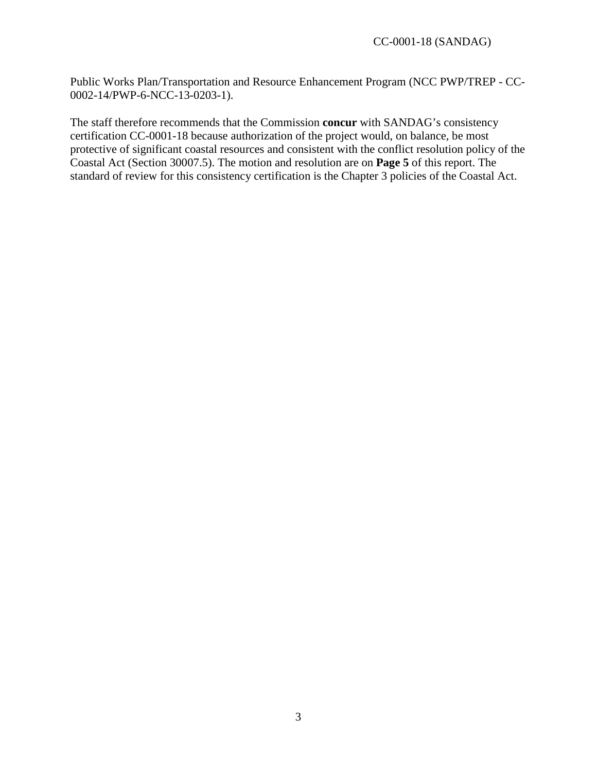Public Works Plan/Transportation and Resource Enhancement Program (NCC PWP/TREP - CC-0002-14/PWP-6-NCC-13-0203-1).

The staff therefore recommends that the Commission **concur** with SANDAG's consistency certification CC-0001-18 because authorization of the project would, on balance, be most protective of significant coastal resources and consistent with the conflict resolution policy of the Coastal Act (Section 30007.5). The motion and resolution are on **Page 5** of this report. The standard of review for this consistency certification is the Chapter 3 policies of the Coastal Act.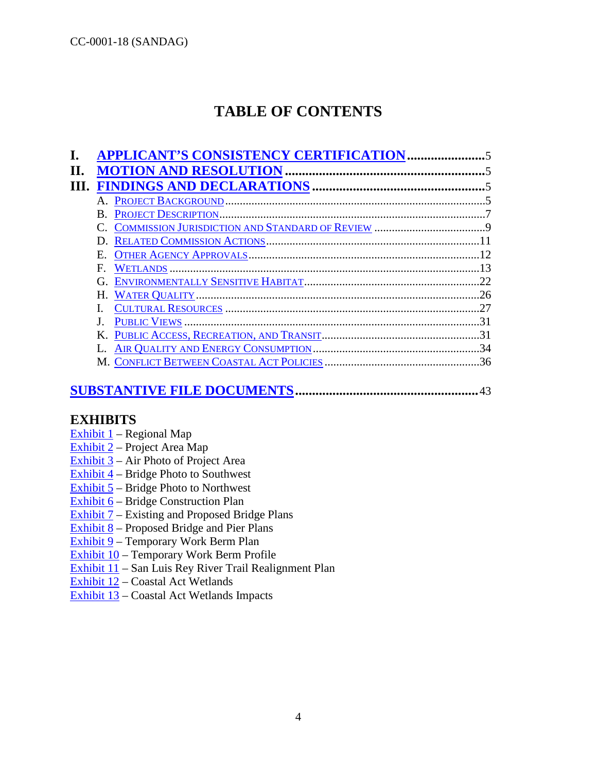# **TABLE OF CONTENTS**

|             | <b>APPLICANT'S CONSISTENCY CERTIFICATION</b> |    |
|-------------|----------------------------------------------|----|
|             |                                              |    |
|             |                                              |    |
|             |                                              |    |
|             |                                              |    |
|             |                                              |    |
| D.          |                                              |    |
| Е.          |                                              |    |
| $F_{\cdot}$ |                                              |    |
| G.          |                                              |    |
| Н.          |                                              |    |
|             |                                              | 27 |
|             |                                              | 31 |
| K.          |                                              | 31 |
|             |                                              |    |
|             |                                              |    |

### **[SUBSTANTIVE FILE DOCUMENTS.](#page-42-0).....................................................**43

### **EXHIBITS**

- Exhibit  $1$  Regional Map
- [Exhibit 2](https://documents.coastal.ca.gov/reports/2018/6/W14a/W14a-6-2018-exhibits.pdf)  Project Area Map
- Exhibit  $3$  Air Photo of Project Area
- [Exhibit 4](https://documents.coastal.ca.gov/reports/2018/6/W14a/W14a-6-2018-exhibits.pdf)  Bridge Photo to Southwest
- [Exhibit 5](https://documents.coastal.ca.gov/reports/2018/6/W14a/W14a-6-2018-exhibits.pdf)  Bridge Photo to Northwest
- [Exhibit 6](https://documents.coastal.ca.gov/reports/2018/6/W14a/W14a-6-2018-exhibits.pdf)  Bridge Construction Plan
- [Exhibit 7](https://documents.coastal.ca.gov/reports/2018/6/W14a/W14a-6-2018-exhibits.pdf)  Existing and Proposed Bridge Plans
- Exhibit  $8$  Proposed Bridge and Pier Plans
- [Exhibit 9](https://documents.coastal.ca.gov/reports/2018/6/W14a/W14a-6-2018-exhibits.pdf)  Temporary Work Berm Plan
- [Exhibit 10](https://documents.coastal.ca.gov/reports/2018/6/W14a/W14a-6-2018-exhibits.pdf)  Temporary Work Berm Profile
- [Exhibit 11](https://documents.coastal.ca.gov/reports/2018/6/W14a/W14a-6-2018-exhibits.pdf)  San Luis Rey River Trail Realignment Plan
- [Exhibit 12](https://documents.coastal.ca.gov/reports/2018/6/W14a/W14a-6-2018-exhibits.pdf)  Coastal Act Wetlands
- [Exhibit 13](https://documents.coastal.ca.gov/reports/2018/6/W14a/W14a-6-2018-exhibits.pdf)  Coastal Act Wetlands Impacts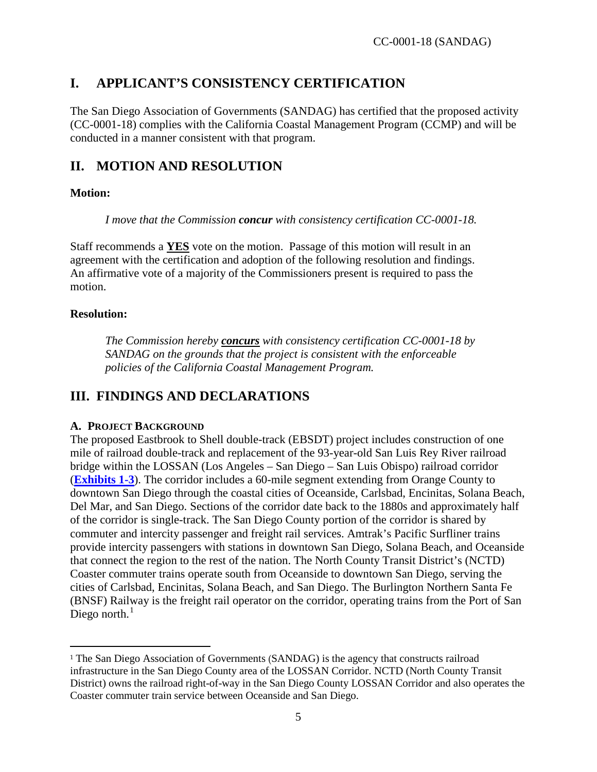## <span id="page-4-0"></span>**I. APPLICANT'S CONSISTENCY CERTIFICATION**

The San Diego Association of Governments (SANDAG) has certified that the proposed activity (CC-0001-18) complies with the California Coastal Management Program (CCMP) and will be conducted in a manner consistent with that program.

## <span id="page-4-1"></span>**II. MOTION AND RESOLUTION**

### **Motion:**

*I move that the Commission concur with consistency certification CC-0001-18.* 

Staff recommends a **YES** vote on the motion. Passage of this motion will result in an agreement with the certification and adoption of the following resolution and findings. An affirmative vote of a majority of the Commissioners present is required to pass the motion.

### **Resolution:**

 $\ddot{\phantom{a}}$ 

*The Commission hereby concurs with consistency certification CC-0001-18 by SANDAG on the grounds that the project is consistent with the enforceable policies of the California Coastal Management Program.* 

## <span id="page-4-2"></span>**III. FINDINGS AND DECLARATIONS**

### <span id="page-4-3"></span>**A. PROJECT BACKGROUND**

The proposed Eastbrook to Shell double-track (EBSDT) project includes construction of one mile of railroad double-track and replacement of the 93-year-old San Luis Rey River railroad bridge within the LOSSAN (Los Angeles – San Diego – San Luis Obispo) railroad corridor (**[Exhibits 1-3](https://documents.coastal.ca.gov/reports/2018/6/W14a/W14a-6-2018-exhibits.pdf)**). The corridor includes a 60-mile segment extending from Orange County to downtown San Diego through the coastal cities of Oceanside, Carlsbad, Encinitas, Solana Beach, Del Mar, and San Diego. Sections of the corridor date back to the 1880s and approximately half of the corridor is single-track. The San Diego County portion of the corridor is shared by commuter and intercity passenger and freight rail services. Amtrak's Pacific Surfliner trains provide intercity passengers with stations in downtown San Diego, Solana Beach, and Oceanside that connect the region to the rest of the nation. The North County Transit District's (NCTD) Coaster commuter trains operate south from Oceanside to downtown San Diego, serving the cities of Carlsbad, Encinitas, Solana Beach, and San Diego. The Burlington Northern Santa Fe (BNSF) Railway is the freight rail operator on the corridor, operating trains from the Port of San Diego north. $<sup>1</sup>$  $<sup>1</sup>$  $<sup>1</sup>$ </sup>

<span id="page-4-4"></span><sup>&</sup>lt;sup>1</sup> The San Diego Association of Governments (SANDAG) is the agency that constructs railroad infrastructure in the San Diego County area of the LOSSAN Corridor. NCTD (North County Transit District) owns the railroad right-of-way in the San Diego County LOSSAN Corridor and also operates the Coaster commuter train service between Oceanside and San Diego.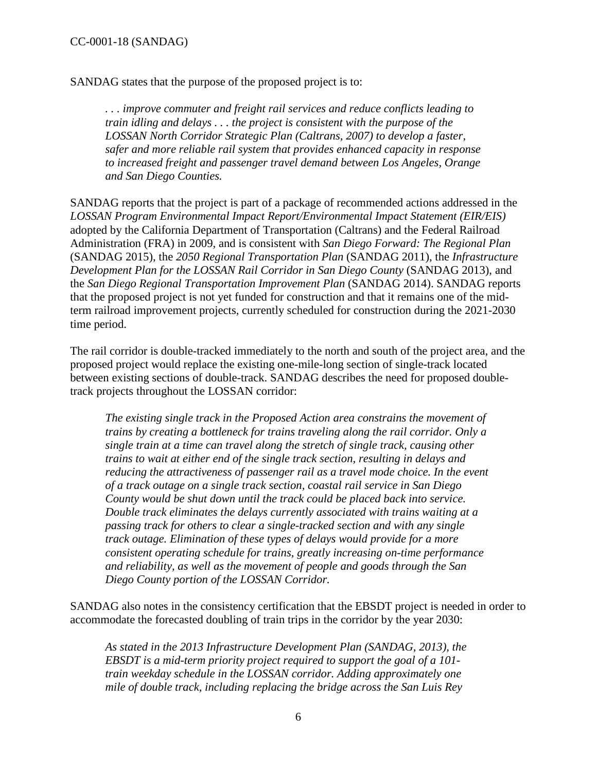SANDAG states that the purpose of the proposed project is to:

*. . . improve commuter and freight rail services and reduce conflicts leading to train idling and delays . . . the project is consistent with the purpose of the LOSSAN North Corridor Strategic Plan (Caltrans, 2007) to develop a faster, safer and more reliable rail system that provides enhanced capacity in response to increased freight and passenger travel demand between Los Angeles, Orange and San Diego Counties.* 

SANDAG reports that the project is part of a package of recommended actions addressed in the *LOSSAN Program Environmental Impact Report/Environmental Impact Statement (EIR/EIS)* adopted by the California Department of Transportation (Caltrans) and the Federal Railroad Administration (FRA) in 2009, and is consistent with *San Diego Forward: The Regional Plan* (SANDAG 2015), the *2050 Regional Transportation Plan* (SANDAG 2011), the *Infrastructure Development Plan for the LOSSAN Rail Corridor in San Diego County* (SANDAG 2013), and the *San Diego Regional Transportation Improvement Plan* (SANDAG 2014). SANDAG reports that the proposed project is not yet funded for construction and that it remains one of the midterm railroad improvement projects, currently scheduled for construction during the 2021-2030 time period.

The rail corridor is double-tracked immediately to the north and south of the project area, and the proposed project would replace the existing one-mile-long section of single-track located between existing sections of double-track. SANDAG describes the need for proposed doubletrack projects throughout the LOSSAN corridor:

*The existing single track in the Proposed Action area constrains the movement of trains by creating a bottleneck for trains traveling along the rail corridor. Only a single train at a time can travel along the stretch of single track, causing other trains to wait at either end of the single track section, resulting in delays and reducing the attractiveness of passenger rail as a travel mode choice. In the event of a track outage on a single track section, coastal rail service in San Diego County would be shut down until the track could be placed back into service. Double track eliminates the delays currently associated with trains waiting at a passing track for others to clear a single-tracked section and with any single track outage. Elimination of these types of delays would provide for a more consistent operating schedule for trains, greatly increasing on-time performance and reliability, as well as the movement of people and goods through the San Diego County portion of the LOSSAN Corridor.* 

SANDAG also notes in the consistency certification that the EBSDT project is needed in order to accommodate the forecasted doubling of train trips in the corridor by the year 2030:

*As stated in the 2013 Infrastructure Development Plan (SANDAG, 2013), the EBSDT is a mid-term priority project required to support the goal of a 101 train weekday schedule in the LOSSAN corridor. Adding approximately one mile of double track, including replacing the bridge across the San Luis Rey*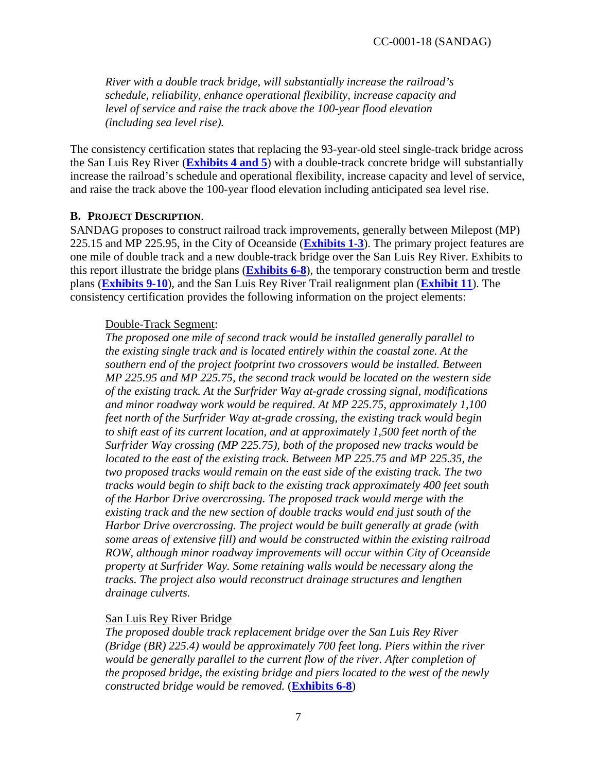*River with a double track bridge, will substantially increase the railroad's schedule, reliability, enhance operational flexibility, increase capacity and level of service and raise the track above the 100-year flood elevation (including sea level rise).* 

The consistency certification states that replacing the 93-year-old steel single-track bridge across the San Luis Rey River (**[Exhibits 4 and 5](https://documents.coastal.ca.gov/reports/2018/6/W14a/W14a-6-2018-exhibits.pdf)**) with a double-track concrete bridge will substantially increase the railroad's schedule and operational flexibility, increase capacity and level of service, and raise the track above the 100-year flood elevation including anticipated sea level rise.

#### <span id="page-6-0"></span>**B. PROJECT DESCRIPTION**.

SANDAG proposes to construct railroad track improvements, generally between Milepost (MP) 225.15 and MP 225.95, in the City of Oceanside (**[Exhibits 1-3](https://documents.coastal.ca.gov/reports/2018/6/W14a/W14a-6-2018-exhibits.pdf)**). The primary project features are one mile of double track and a new double-track bridge over the San Luis Rey River. Exhibits to this report illustrate the bridge plans (**[Exhibits 6-8](https://documents.coastal.ca.gov/reports/2018/6/W14a/W14a-6-2018-exhibits.pdf)**), the temporary construction berm and trestle plans (**[Exhibits 9-10](https://documents.coastal.ca.gov/reports/2018/6/W14a/W14a-6-2018-exhibits.pdf)**), and the San Luis Rey River Trail realignment plan (**[Exhibit 11](https://documents.coastal.ca.gov/reports/2018/6/W14a/W14a-6-2018-exhibits.pdf)**). The consistency certification provides the following information on the project elements:

#### Double-Track Segment:

*The proposed one mile of second track would be installed generally parallel to the existing single track and is located entirely within the coastal zone. At the southern end of the project footprint two crossovers would be installed. Between MP 225.95 and MP 225.75, the second track would be located on the western side of the existing track. At the Surfrider Way at-grade crossing signal, modifications and minor roadway work would be required. At MP 225.75, approximately 1,100 feet north of the Surfrider Way at-grade crossing, the existing track would begin to shift east of its current location, and at approximately 1,500 feet north of the Surfrider Way crossing (MP 225.75), both of the proposed new tracks would be located to the east of the existing track. Between MP 225.75 and MP 225.35, the two proposed tracks would remain on the east side of the existing track. The two tracks would begin to shift back to the existing track approximately 400 feet south of the Harbor Drive overcrossing. The proposed track would merge with the existing track and the new section of double tracks would end just south of the Harbor Drive overcrossing. The project would be built generally at grade (with some areas of extensive fill) and would be constructed within the existing railroad ROW, although minor roadway improvements will occur within City of Oceanside property at Surfrider Way. Some retaining walls would be necessary along the tracks. The project also would reconstruct drainage structures and lengthen drainage culverts.* 

#### San Luis Rey River Bridge

*The proposed double track replacement bridge over the San Luis Rey River (Bridge (BR) 225.4) would be approximately 700 feet long. Piers within the river*  would be generally parallel to the current flow of the river. After completion of *the proposed bridge, the existing bridge and piers located to the west of the newly constructed bridge would be removed.* (**[Exhibits 6-8](https://documents.coastal.ca.gov/reports/2018/6/W14a/W14a-6-2018-exhibits.pdf)**)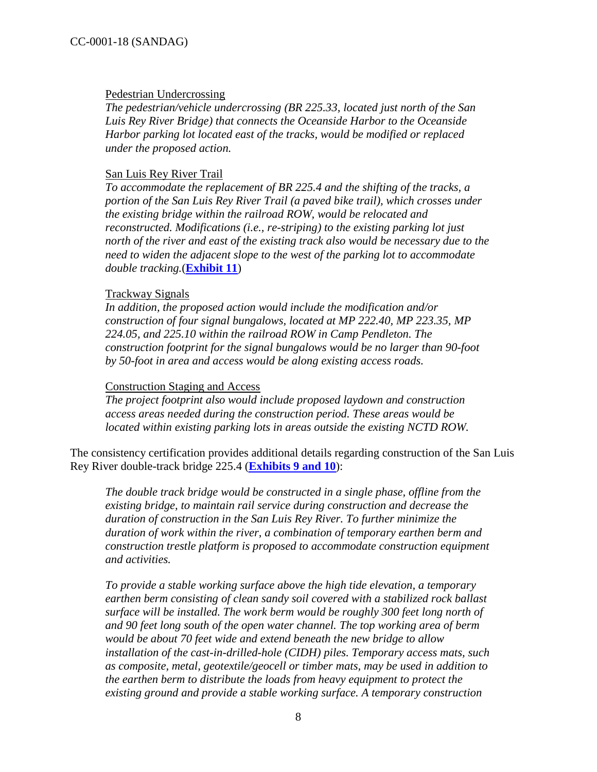#### Pedestrian Undercrossing

*The pedestrian/vehicle undercrossing (BR 225.33, located just north of the San Luis Rey River Bridge) that connects the Oceanside Harbor to the Oceanside Harbor parking lot located east of the tracks, would be modified or replaced under the proposed action.* 

#### San Luis Rey River Trail

*To accommodate the replacement of BR 225.4 and the shifting of the tracks, a portion of the San Luis Rey River Trail (a paved bike trail), which crosses under the existing bridge within the railroad ROW, would be relocated and reconstructed. Modifications (i.e., re-striping) to the existing parking lot just north of the river and east of the existing track also would be necessary due to the need to widen the adjacent slope to the west of the parking lot to accommodate double tracking.*(**[Exhibit 11](https://documents.coastal.ca.gov/reports/2018/6/W14a/W14a-6-2018-exhibits.pdf)**)

#### Trackway Signals

*In addition, the proposed action would include the modification and/or construction of four signal bungalows, located at MP 222.40, MP 223.35, MP 224.05, and 225.10 within the railroad ROW in Camp Pendleton. The construction footprint for the signal bungalows would be no larger than 90-foot by 50-foot in area and access would be along existing access roads.*

#### Construction Staging and Access

*The project footprint also would include proposed laydown and construction access areas needed during the construction period. These areas would be located within existing parking lots in areas outside the existing NCTD ROW.* 

The consistency certification provides additional details regarding construction of the San Luis Rey River double-track bridge 225.4 (**[Exhibits 9 and 10](https://documents.coastal.ca.gov/reports/2018/6/W14a/W14a-6-2018-exhibits.pdf)**):

*The double track bridge would be constructed in a single phase, offline from the existing bridge, to maintain rail service during construction and decrease the duration of construction in the San Luis Rey River. To further minimize the duration of work within the river, a combination of temporary earthen berm and construction trestle platform is proposed to accommodate construction equipment and activities.*

*To provide a stable working surface above the high tide elevation, a temporary earthen berm consisting of clean sandy soil covered with a stabilized rock ballast surface will be installed. The work berm would be roughly 300 feet long north of and 90 feet long south of the open water channel. The top working area of berm would be about 70 feet wide and extend beneath the new bridge to allow installation of the cast-in-drilled-hole (CIDH) piles. Temporary access mats, such as composite, metal, geotextile/geocell or timber mats, may be used in addition to the earthen berm to distribute the loads from heavy equipment to protect the existing ground and provide a stable working surface. A temporary construction*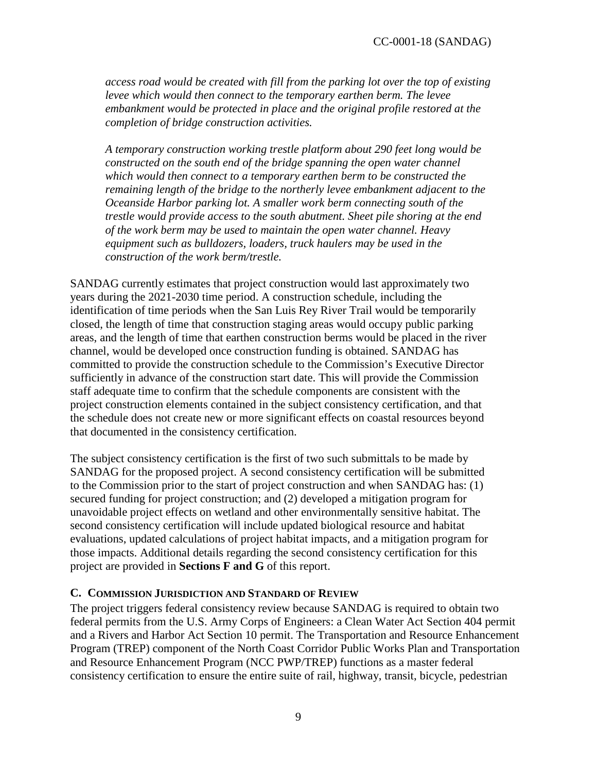*access road would be created with fill from the parking lot over the top of existing levee which would then connect to the temporary earthen berm. The levee embankment would be protected in place and the original profile restored at the completion of bridge construction activities.* 

*A temporary construction working trestle platform about 290 feet long would be constructed on the south end of the bridge spanning the open water channel which would then connect to a temporary earthen berm to be constructed the remaining length of the bridge to the northerly levee embankment adjacent to the Oceanside Harbor parking lot. A smaller work berm connecting south of the trestle would provide access to the south abutment. Sheet pile shoring at the end of the work berm may be used to maintain the open water channel. Heavy equipment such as bulldozers, loaders, truck haulers may be used in the construction of the work berm/trestle.*

SANDAG currently estimates that project construction would last approximately two years during the 2021-2030 time period. A construction schedule, including the identification of time periods when the San Luis Rey River Trail would be temporarily closed, the length of time that construction staging areas would occupy public parking areas, and the length of time that earthen construction berms would be placed in the river channel, would be developed once construction funding is obtained. SANDAG has committed to provide the construction schedule to the Commission's Executive Director sufficiently in advance of the construction start date. This will provide the Commission staff adequate time to confirm that the schedule components are consistent with the project construction elements contained in the subject consistency certification, and that the schedule does not create new or more significant effects on coastal resources beyond that documented in the consistency certification.

The subject consistency certification is the first of two such submittals to be made by SANDAG for the proposed project. A second consistency certification will be submitted to the Commission prior to the start of project construction and when SANDAG has: (1) secured funding for project construction; and (2) developed a mitigation program for unavoidable project effects on wetland and other environmentally sensitive habitat. The second consistency certification will include updated biological resource and habitat evaluations, updated calculations of project habitat impacts, and a mitigation program for those impacts. Additional details regarding the second consistency certification for this project are provided in **Sections F and G** of this report.

#### <span id="page-8-0"></span>**C. COMMISSION JURISDICTION AND STANDARD OF REVIEW**

The project triggers federal consistency review because SANDAG is required to obtain two federal permits from the U.S. Army Corps of Engineers: a Clean Water Act Section 404 permit and a Rivers and Harbor Act Section 10 permit. The Transportation and Resource Enhancement Program (TREP) component of the North Coast Corridor Public Works Plan and Transportation and Resource Enhancement Program (NCC PWP/TREP) functions as a master federal consistency certification to ensure the entire suite of rail, highway, transit, bicycle, pedestrian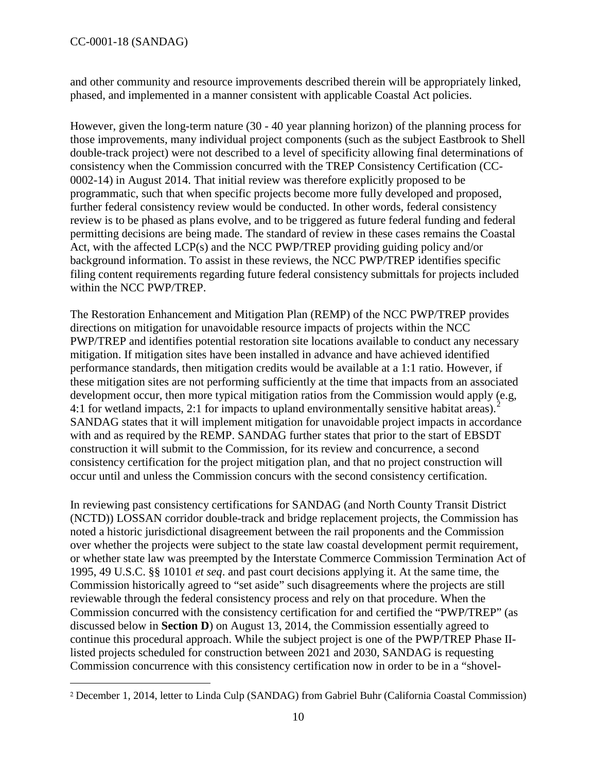$\overline{a}$ 

and other community and resource improvements described therein will be appropriately linked, phased, and implemented in a manner consistent with applicable Coastal Act policies.

However, given the long-term nature (30 - 40 year planning horizon) of the planning process for those improvements, many individual project components (such as the subject Eastbrook to Shell double-track project) were not described to a level of specificity allowing final determinations of consistency when the Commission concurred with the TREP Consistency Certification (CC-0002-14) in August 2014. That initial review was therefore explicitly proposed to be programmatic, such that when specific projects become more fully developed and proposed, further federal consistency review would be conducted. In other words, federal consistency review is to be phased as plans evolve, and to be triggered as future federal funding and federal permitting decisions are being made. The standard of review in these cases remains the Coastal Act, with the affected LCP(s) and the NCC PWP/TREP providing guiding policy and/or background information. To assist in these reviews, the NCC PWP/TREP identifies specific filing content requirements regarding future federal consistency submittals for projects included within the NCC PWP/TREP.

The Restoration Enhancement and Mitigation Plan (REMP) of the NCC PWP/TREP provides directions on mitigation for unavoidable resource impacts of projects within the NCC PWP/TREP and identifies potential restoration site locations available to conduct any necessary mitigation. If mitigation sites have been installed in advance and have achieved identified performance standards, then mitigation credits would be available at a 1:1 ratio. However, if these mitigation sites are not performing sufficiently at the time that impacts from an associated development occur, then more typical mitigation ratios from the Commission would apply (e.g, 4:1 for wetland impacts, [2](#page-9-0):1 for impacts to upland environmentally sensitive habitat areas).<sup>2</sup> SANDAG states that it will implement mitigation for unavoidable project impacts in accordance with and as required by the REMP. SANDAG further states that prior to the start of EBSDT construction it will submit to the Commission, for its review and concurrence, a second consistency certification for the project mitigation plan, and that no project construction will occur until and unless the Commission concurs with the second consistency certification.

In reviewing past consistency certifications for SANDAG (and North County Transit District (NCTD)) LOSSAN corridor double-track and bridge replacement projects, the Commission has noted a historic jurisdictional disagreement between the rail proponents and the Commission over whether the projects were subject to the state law coastal development permit requirement, or whether state law was preempted by the Interstate Commerce Commission Termination Act of 1995, 49 U.S.C. §§ 10101 *et seq*. and past court decisions applying it. At the same time, the Commission historically agreed to "set aside" such disagreements where the projects are still reviewable through the federal consistency process and rely on that procedure. When the Commission concurred with the consistency certification for and certified the "PWP/TREP" (as discussed below in **Section D**) on August 13, 2014, the Commission essentially agreed to continue this procedural approach. While the subject project is one of the PWP/TREP Phase IIlisted projects scheduled for construction between 2021 and 2030, SANDAG is requesting Commission concurrence with this consistency certification now in order to be in a "shovel-

<span id="page-9-0"></span><sup>2</sup> December 1, 2014, letter to Linda Culp (SANDAG) from Gabriel Buhr (California Coastal Commission)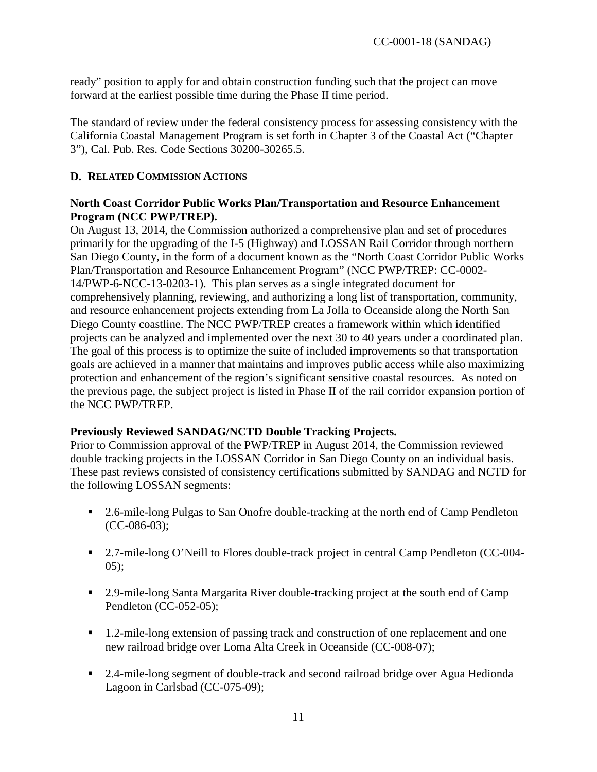ready" position to apply for and obtain construction funding such that the project can move forward at the earliest possible time during the Phase II time period.

The standard of review under the federal consistency process for assessing consistency with the California Coastal Management Program is set forth in Chapter 3 of the Coastal Act ("Chapter 3"), Cal. Pub. Res. Code Sections 30200-30265.5.

### <span id="page-10-0"></span>**D. RELATED COMMISSION ACTIONS**

#### **North Coast Corridor Public Works Plan/Transportation and Resource Enhancement Program (NCC PWP/TREP).**

On August 13, 2014, the Commission authorized a comprehensive plan and set of procedures primarily for the upgrading of the I-5 (Highway) and LOSSAN Rail Corridor through northern San Diego County, in the form of a document known as the "North Coast Corridor Public Works Plan/Transportation and Resource Enhancement Program" (NCC PWP/TREP: CC-0002- 14/PWP-6-NCC-13-0203-1). This plan serves as a single integrated document for comprehensively planning, reviewing, and authorizing a long list of transportation, community, and resource enhancement projects extending from La Jolla to Oceanside along the North San Diego County coastline. The NCC PWP/TREP creates a framework within which identified projects can be analyzed and implemented over the next 30 to 40 years under a coordinated plan. The goal of this process is to optimize the suite of included improvements so that transportation goals are achieved in a manner that maintains and improves public access while also maximizing protection and enhancement of the region's significant sensitive coastal resources. As noted on the previous page, the subject project is listed in Phase II of the rail corridor expansion portion of the NCC PWP/TREP.

#### **Previously Reviewed SANDAG/NCTD Double Tracking Projects.**

Prior to Commission approval of the PWP/TREP in August 2014, the Commission reviewed double tracking projects in the LOSSAN Corridor in San Diego County on an individual basis. These past reviews consisted of consistency certifications submitted by SANDAG and NCTD for the following LOSSAN segments:

- 2.6-mile-long Pulgas to San Onofre double-tracking at the north end of Camp Pendleton (CC-086-03);
- <sup>2.7-mile-long O'Neill to Flores double-track project in central Camp Pendleton (CC-004-</sup>  $05$ :
- <sup>2</sup> 2.9-mile-long Santa Margarita River double-tracking project at the south end of Camp Pendleton (CC-052-05);
- 1.2-mile-long extension of passing track and construction of one replacement and one new railroad bridge over Loma Alta Creek in Oceanside (CC-008-07);
- 2.4-mile-long segment of double-track and second railroad bridge over Agua Hedionda Lagoon in Carlsbad (CC-075-09);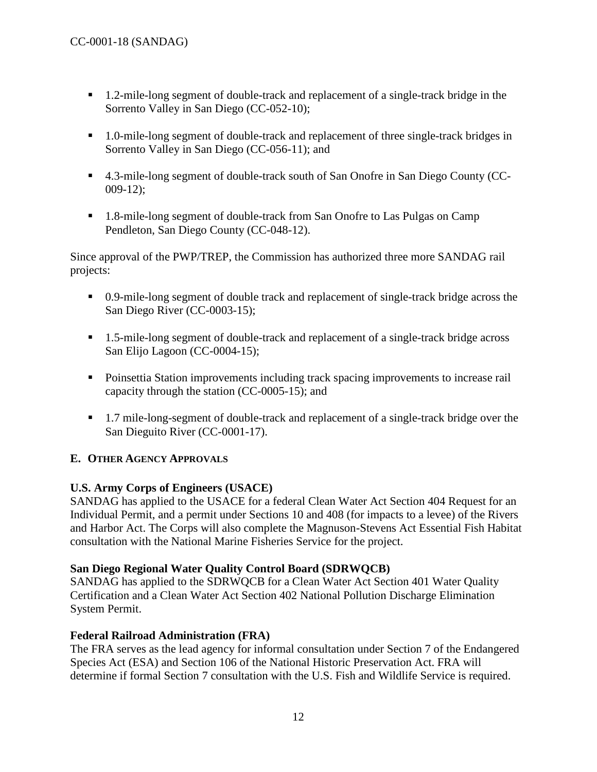- 1.2-mile-long segment of double-track and replacement of a single-track bridge in the Sorrento Valley in San Diego (CC-052-10);
- 1.0-mile-long segment of double-track and replacement of three single-track bridges in Sorrento Valley in San Diego (CC-056-11); and
- 4.3-mile-long segment of double-track south of San Onofre in San Diego County (CC-009-12);
- <sup>1</sup> 1.8-mile-long segment of double-track from San Onofre to Las Pulgas on Camp Pendleton, San Diego County (CC-048-12).

Since approval of the PWP/TREP, the Commission has authorized three more SANDAG rail projects:

- 0.9-mile-long segment of double track and replacement of single-track bridge across the San Diego River (CC-0003-15);
- 1.5-mile-long segment of double-track and replacement of a single-track bridge across San Elijo Lagoon (CC-0004-15);
- **Poinsettia Station improvements including track spacing improvements to increase rail** capacity through the station (CC-0005-15); and
- 1.7 mile-long-segment of double-track and replacement of a single-track bridge over the San Dieguito River (CC-0001-17).

### <span id="page-11-0"></span>**E. OTHER AGENCY APPROVALS**

### **U.S. Army Corps of Engineers (USACE)**

SANDAG has applied to the USACE for a federal Clean Water Act Section 404 Request for an Individual Permit, and a permit under Sections 10 and 408 (for impacts to a levee) of the Rivers and Harbor Act. The Corps will also complete the Magnuson-Stevens Act Essential Fish Habitat consultation with the National Marine Fisheries Service for the project.

### **San Diego Regional Water Quality Control Board (SDRWQCB)**

SANDAG has applied to the SDRWQCB for a Clean Water Act Section 401 Water Quality Certification and a Clean Water Act Section 402 National Pollution Discharge Elimination System Permit.

### **Federal Railroad Administration (FRA)**

The FRA serves as the lead agency for informal consultation under Section 7 of the Endangered Species Act (ESA) and Section 106 of the National Historic Preservation Act. FRA will determine if formal Section 7 consultation with the U.S. Fish and Wildlife Service is required.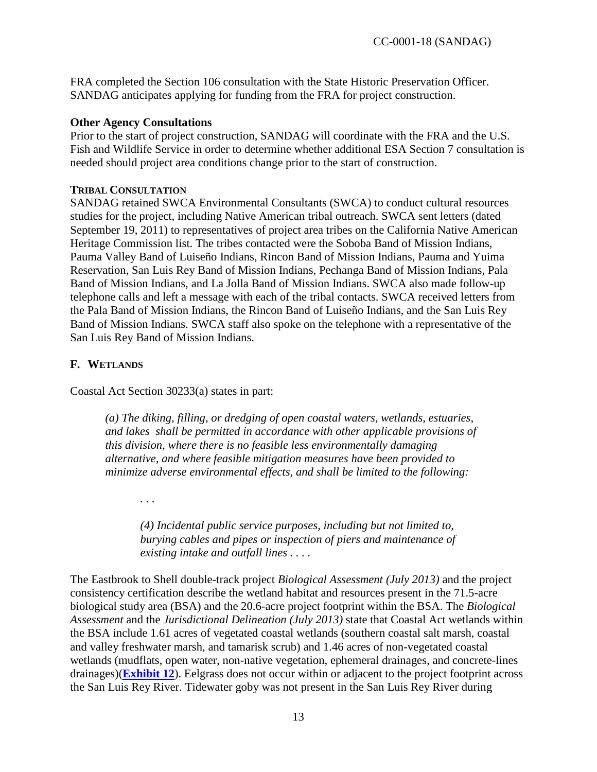FRA completed the Section 106 consultation with the State Historic Preservation Officer. SANDAG anticipates applying for funding from the FRA for project construction.

#### **Other Agency Consultations**

Prior to the start of project construction, SANDAG will coordinate with the FRA and the U.S. Fish and Wildlife Service in order to determine whether additional ESA Section 7 consultation is needed should project area conditions change prior to the start of construction.

#### **TRIBAL CONSULTATION**

SANDAG retained SWCA Environmental Consultants (SWCA) to conduct cultural resources studies for the project, including Native American tribal outreach. SWCA sent letters (dated September 19, 2011) to representatives of project area tribes on the California Native American Heritage Commission list. The tribes contacted were the Soboba Band of Mission Indians, Pauma Valley Band of Luiseño Indians, Rincon Band of Mission Indians, Pauma and Yuima Reservation, San Luis Rey Band of Mission Indians, Pechanga Band of Mission Indians, Pala Band of Mission Indians, and La Jolla Band of Mission Indians. SWCA also made follow-up telephone calls and left a message with each of the tribal contacts. SWCA received letters from the Pala Band of Mission Indians, the Rincon Band of Luiseño Indians, and the San Luis Rey Band of Mission Indians. SWCA staff also spoke on the telephone with a representative of the San Luis Rey Band of Mission Indians.

#### <span id="page-12-0"></span>**F. WETLANDS**

Coastal Act Section 30233(a) states in part:

*. . .* 

*(a) The diking, filling, or dredging of open coastal waters, wetlands, estuaries, and lakes shall be permitted in accordance with other applicable provisions of this division, where there is no feasible less environmentally damaging alternative, and where feasible mitigation measures have been provided to minimize adverse environmental effects, and shall be limited to the following:* 

*(4) Incidental public service purposes, including but not limited to, burying cables and pipes or inspection of piers and maintenance of existing intake and outfall lines . . . .* 

The Eastbrook to Shell double-track project *Biological Assessment (July 2013)* and the project consistency certification describe the wetland habitat and resources present in the 71.5-acre biological study area (BSA) and the 20.6-acre project footprint within the BSA. The *Biological Assessment* and the *Jurisdictional Delineation (July 2013)* state that Coastal Act wetlands within the BSA include 1.61 acres of vegetated coastal wetlands (southern coastal salt marsh, coastal and valley freshwater marsh, and tamarisk scrub) and 1.46 acres of non-vegetated coastal wetlands (mudflats, open water, non-native vegetation, ephemeral drainages, and concrete-lines drainages)(**[Exhibit 12](https://documents.coastal.ca.gov/reports/2018/6/W14a/W14a-6-2018-exhibits.pdf)**). Eelgrass does not occur within or adjacent to the project footprint across the San Luis Rey River. Tidewater goby was not present in the San Luis Rey River during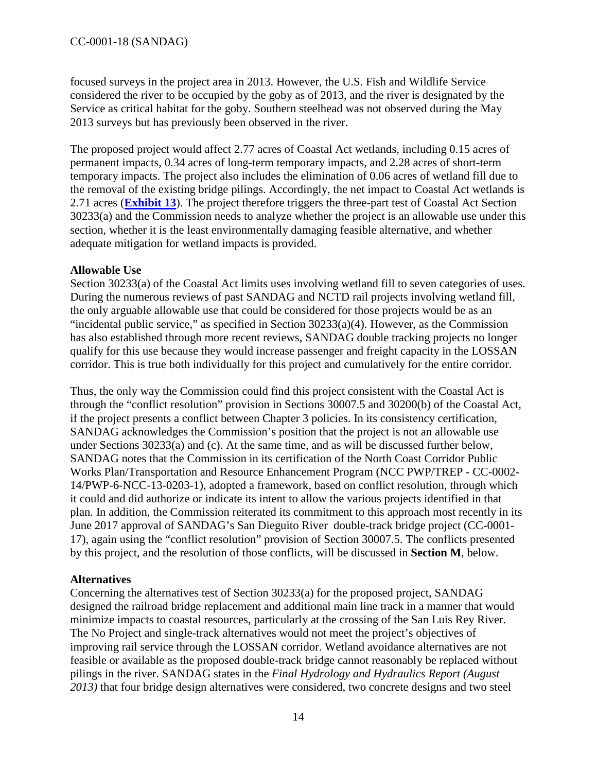focused surveys in the project area in 2013. However, the U.S. Fish and Wildlife Service considered the river to be occupied by the goby as of 2013, and the river is designated by the Service as critical habitat for the goby. Southern steelhead was not observed during the May 2013 surveys but has previously been observed in the river.

The proposed project would affect 2.77 acres of Coastal Act wetlands, including 0.15 acres of permanent impacts, 0.34 acres of long-term temporary impacts, and 2.28 acres of short-term temporary impacts. The project also includes the elimination of 0.06 acres of wetland fill due to the removal of the existing bridge pilings. Accordingly, the net impact to Coastal Act wetlands is 2.71 acres (**[Exhibit 13](https://documents.coastal.ca.gov/reports/2018/6/W14a/W14a-6-2018-exhibits.pdf)**). The project therefore triggers the three-part test of Coastal Act Section 30233(a) and the Commission needs to analyze whether the project is an allowable use under this section, whether it is the least environmentally damaging feasible alternative, and whether adequate mitigation for wetland impacts is provided.

### **Allowable Use**

Section 30233(a) of the Coastal Act limits uses involving wetland fill to seven categories of uses. During the numerous reviews of past SANDAG and NCTD rail projects involving wetland fill, the only arguable allowable use that could be considered for those projects would be as an "incidental public service," as specified in Section  $30233(a)(4)$ . However, as the Commission has also established through more recent reviews, SANDAG double tracking projects no longer qualify for this use because they would increase passenger and freight capacity in the LOSSAN corridor. This is true both individually for this project and cumulatively for the entire corridor.

Thus, the only way the Commission could find this project consistent with the Coastal Act is through the "conflict resolution" provision in Sections 30007.5 and 30200(b) of the Coastal Act, if the project presents a conflict between Chapter 3 policies. In its consistency certification, SANDAG acknowledges the Commission's position that the project is not an allowable use under Sections 30233(a) and (c). At the same time, and as will be discussed further below, SANDAG notes that the Commission in its certification of the North Coast Corridor Public Works Plan/Transportation and Resource Enhancement Program (NCC PWP/TREP - CC-0002- 14/PWP-6-NCC-13-0203-1), adopted a framework, based on conflict resolution, through which it could and did authorize or indicate its intent to allow the various projects identified in that plan. In addition, the Commission reiterated its commitment to this approach most recently in its June 2017 approval of SANDAG's San Dieguito River double-track bridge project (CC-0001- 17), again using the "conflict resolution" provision of Section 30007.5. The conflicts presented by this project, and the resolution of those conflicts, will be discussed in **Section M**, below.

### **Alternatives**

Concerning the alternatives test of Section 30233(a) for the proposed project, SANDAG designed the railroad bridge replacement and additional main line track in a manner that would minimize impacts to coastal resources, particularly at the crossing of the San Luis Rey River. The No Project and single-track alternatives would not meet the project's objectives of improving rail service through the LOSSAN corridor. Wetland avoidance alternatives are not feasible or available as the proposed double-track bridge cannot reasonably be replaced without pilings in the river. SANDAG states in the *Final Hydrology and Hydraulics Report (August 2013)* that four bridge design alternatives were considered, two concrete designs and two steel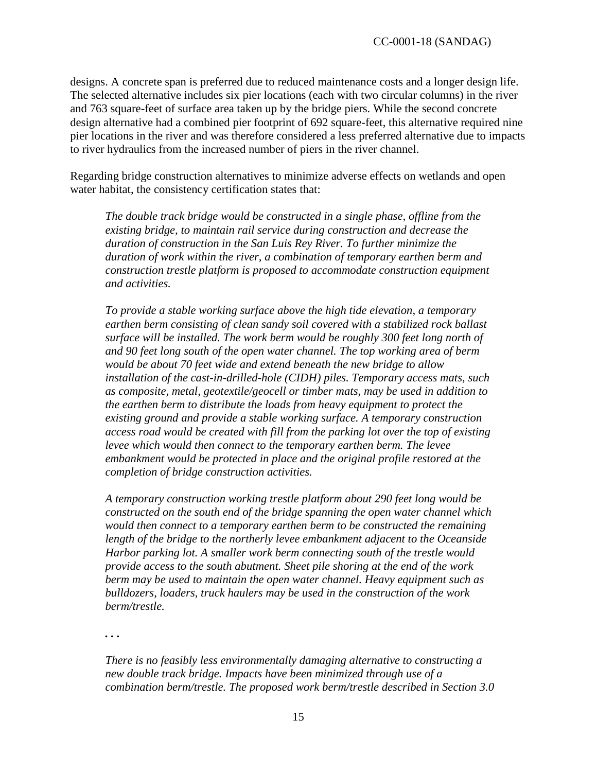designs. A concrete span is preferred due to reduced maintenance costs and a longer design life. The selected alternative includes six pier locations (each with two circular columns) in the river and 763 square-feet of surface area taken up by the bridge piers. While the second concrete design alternative had a combined pier footprint of 692 square-feet, this alternative required nine pier locations in the river and was therefore considered a less preferred alternative due to impacts to river hydraulics from the increased number of piers in the river channel.

Regarding bridge construction alternatives to minimize adverse effects on wetlands and open water habitat, the consistency certification states that:

*The double track bridge would be constructed in a single phase, offline from the existing bridge, to maintain rail service during construction and decrease the duration of construction in the San Luis Rey River. To further minimize the duration of work within the river, a combination of temporary earthen berm and construction trestle platform is proposed to accommodate construction equipment and activities.*

*To provide a stable working surface above the high tide elevation, a temporary earthen berm consisting of clean sandy soil covered with a stabilized rock ballast*  surface will be installed. The work berm would be roughly 300 feet long north of *and 90 feet long south of the open water channel. The top working area of berm would be about 70 feet wide and extend beneath the new bridge to allow installation of the cast-in-drilled-hole (CIDH) piles. Temporary access mats, such as composite, metal, geotextile/geocell or timber mats, may be used in addition to the earthen berm to distribute the loads from heavy equipment to protect the existing ground and provide a stable working surface. A temporary construction access road would be created with fill from the parking lot over the top of existing levee which would then connect to the temporary earthen berm. The levee embankment would be protected in place and the original profile restored at the completion of bridge construction activities.* 

*A temporary construction working trestle platform about 290 feet long would be constructed on the south end of the bridge spanning the open water channel which would then connect to a temporary earthen berm to be constructed the remaining length of the bridge to the northerly levee embankment adjacent to the Oceanside Harbor parking lot. A smaller work berm connecting south of the trestle would provide access to the south abutment. Sheet pile shoring at the end of the work berm may be used to maintain the open water channel. Heavy equipment such as bulldozers, loaders, truck haulers may be used in the construction of the work berm/trestle.*

*. . .* 

*There is no feasibly less environmentally damaging alternative to constructing a new double track bridge. Impacts have been minimized through use of a combination berm/trestle. The proposed work berm/trestle described in Section 3.0*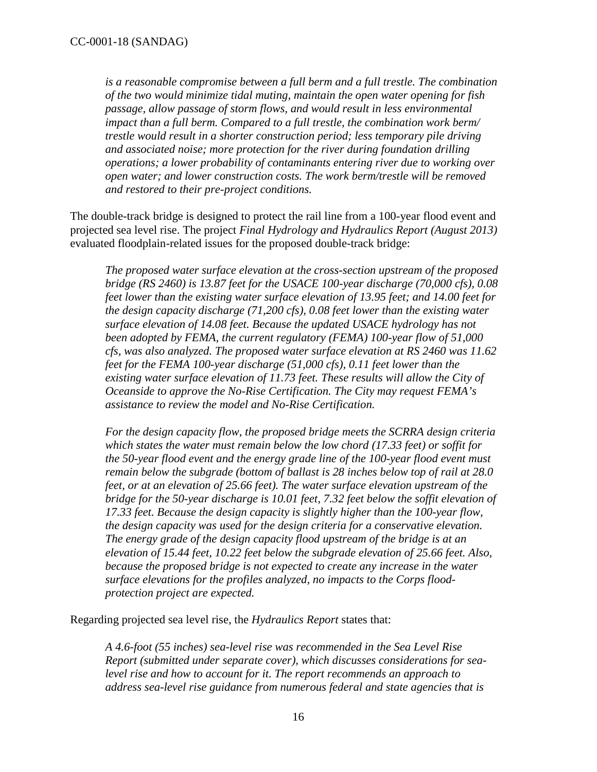*is a reasonable compromise between a full berm and a full trestle. The combination of the two would minimize tidal muting, maintain the open water opening for fish passage, allow passage of storm flows, and would result in less environmental impact than a full berm. Compared to a full trestle, the combination work berm/ trestle would result in a shorter construction period; less temporary pile driving and associated noise; more protection for the river during foundation drilling operations; a lower probability of contaminants entering river due to working over open water; and lower construction costs. The work berm/trestle will be removed and restored to their pre-project conditions.* 

The double-track bridge is designed to protect the rail line from a 100-year flood event and projected sea level rise. The project *Final Hydrology and Hydraulics Report (August 2013)* evaluated floodplain-related issues for the proposed double-track bridge:

*The proposed water surface elevation at the cross-section upstream of the proposed bridge (RS 2460) is 13.87 feet for the USACE 100-year discharge (70,000 cfs), 0.08 feet lower than the existing water surface elevation of 13.95 feet; and 14.00 feet for the design capacity discharge (71,200 cfs), 0.08 feet lower than the existing water surface elevation of 14.08 feet. Because the updated USACE hydrology has not been adopted by FEMA, the current regulatory (FEMA) 100-year flow of 51,000 cfs, was also analyzed. The proposed water surface elevation at RS 2460 was 11.62 feet for the FEMA 100-year discharge (51,000 cfs), 0.11 feet lower than the existing water surface elevation of 11.73 feet. These results will allow the City of Oceanside to approve the No-Rise Certification. The City may request FEMA's assistance to review the model and No-Rise Certification.*

*For the design capacity flow, the proposed bridge meets the SCRRA design criteria which states the water must remain below the low chord (17.33 feet) or soffit for the 50-year flood event and the energy grade line of the 100-year flood event must remain below the subgrade (bottom of ballast is 28 inches below top of rail at 28.0 feet, or at an elevation of 25.66 feet). The water surface elevation upstream of the bridge for the 50-year discharge is 10.01 feet, 7.32 feet below the soffit elevation of 17.33 feet. Because the design capacity is slightly higher than the 100-year flow, the design capacity was used for the design criteria for a conservative elevation. The energy grade of the design capacity flood upstream of the bridge is at an elevation of 15.44 feet, 10.22 feet below the subgrade elevation of 25.66 feet. Also, because the proposed bridge is not expected to create any increase in the water surface elevations for the profiles analyzed, no impacts to the Corps floodprotection project are expected.*

Regarding projected sea level rise, the *Hydraulics Report* states that:

*A 4.6-foot (55 inches) sea-level rise was recommended in the Sea Level Rise Report (submitted under separate cover), which discusses considerations for sealevel rise and how to account for it. The report recommends an approach to address sea-level rise guidance from numerous federal and state agencies that is*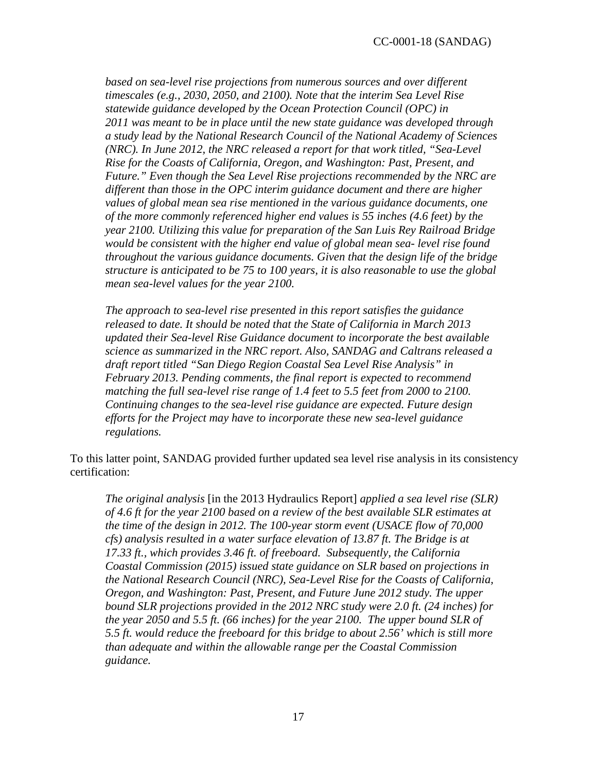*based on sea-level rise projections from numerous sources and over different timescales (e.g., 2030, 2050, and 2100). Note that the interim Sea Level Rise statewide guidance developed by the Ocean Protection Council (OPC) in 2011 was meant to be in place until the new state guidance was developed through a study lead by the National Research Council of the National Academy of Sciences (NRC). In June 2012, the NRC released a report for that work titled, "Sea-Level Rise for the Coasts of California, Oregon, and Washington: Past, Present, and Future." Even though the Sea Level Rise projections recommended by the NRC are different than those in the OPC interim guidance document and there are higher values of global mean sea rise mentioned in the various guidance documents, one of the more commonly referenced higher end values is 55 inches (4.6 feet) by the year 2100. Utilizing this value for preparation of the San Luis Rey Railroad Bridge would be consistent with the higher end value of global mean sea- level rise found throughout the various guidance documents. Given that the design life of the bridge structure is anticipated to be 75 to 100 years, it is also reasonable to use the global mean sea-level values for the year 2100.* 

*The approach to sea-level rise presented in this report satisfies the guidance released to date. It should be noted that the State of California in March 2013 updated their Sea-level Rise Guidance document to incorporate the best available science as summarized in the NRC report. Also, SANDAG and Caltrans released a draft report titled "San Diego Region Coastal Sea Level Rise Analysis" in February 2013. Pending comments, the final report is expected to recommend matching the full sea-level rise range of 1.4 feet to 5.5 feet from 2000 to 2100. Continuing changes to the sea-level rise guidance are expected. Future design efforts for the Project may have to incorporate these new sea-level guidance regulations.* 

To this latter point, SANDAG provided further updated sea level rise analysis in its consistency certification:

*The original analysis* [in the 2013 Hydraulics Report] *applied a sea level rise (SLR) of 4.6 ft for the year 2100 based on a review of the best available SLR estimates at the time of the design in 2012. The 100-year storm event (USACE flow of 70,000 cfs) analysis resulted in a water surface elevation of 13.87 ft. The Bridge is at 17.33 ft., which provides 3.46 ft. of freeboard. Subsequently, the California Coastal Commission (2015) issued state guidance on SLR based on projections in the National Research Council (NRC), Sea-Level Rise for the Coasts of California, Oregon, and Washington: Past, Present, and Future June 2012 study. The upper bound SLR projections provided in the 2012 NRC study were 2.0 ft. (24 inches) for the year 2050 and 5.5 ft. (66 inches) for the year 2100. The upper bound SLR of 5.5 ft. would reduce the freeboard for this bridge to about 2.56' which is still more than adequate and within the allowable range per the Coastal Commission guidance.*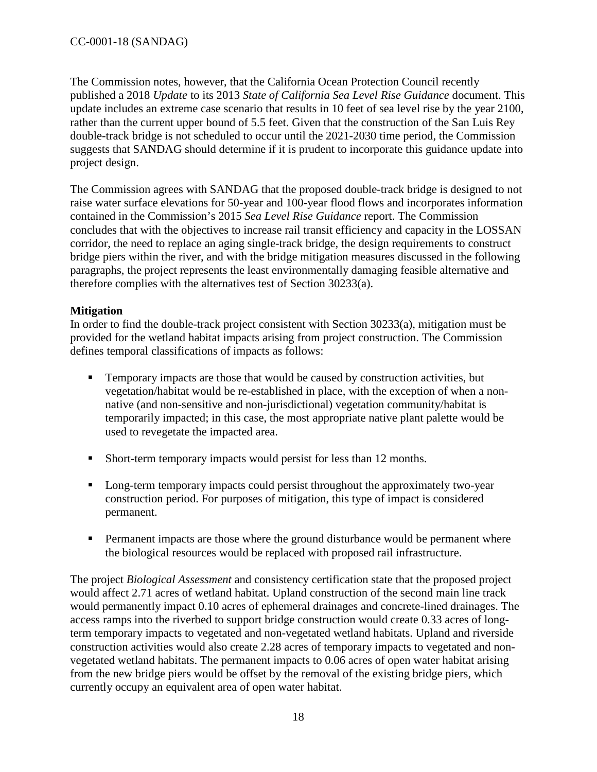The Commission notes, however, that the California Ocean Protection Council recently published a 2018 *Update* to its 2013 *State of California Sea Level Rise Guidance* document. This update includes an extreme case scenario that results in 10 feet of sea level rise by the year 2100, rather than the current upper bound of 5.5 feet. Given that the construction of the San Luis Rey double-track bridge is not scheduled to occur until the 2021-2030 time period, the Commission suggests that SANDAG should determine if it is prudent to incorporate this guidance update into project design.

The Commission agrees with SANDAG that the proposed double-track bridge is designed to not raise water surface elevations for 50-year and 100-year flood flows and incorporates information contained in the Commission's 2015 *Sea Level Rise Guidance* report. The Commission concludes that with the objectives to increase rail transit efficiency and capacity in the LOSSAN corridor, the need to replace an aging single-track bridge, the design requirements to construct bridge piers within the river, and with the bridge mitigation measures discussed in the following paragraphs, the project represents the least environmentally damaging feasible alternative and therefore complies with the alternatives test of Section 30233(a).

### **Mitigation**

In order to find the double-track project consistent with Section 30233(a), mitigation must be provided for the wetland habitat impacts arising from project construction. The Commission defines temporal classifications of impacts as follows:

- Temporary impacts are those that would be caused by construction activities, but vegetation/habitat would be re-established in place, with the exception of when a nonnative (and non-sensitive and non-jurisdictional) vegetation community/habitat is temporarily impacted; in this case, the most appropriate native plant palette would be used to revegetate the impacted area.
- Short-term temporary impacts would persist for less than 12 months.
- **Long-term temporary impacts could persist throughout the approximately two-year** construction period. For purposes of mitigation, this type of impact is considered permanent.
- Permanent impacts are those where the ground disturbance would be permanent where the biological resources would be replaced with proposed rail infrastructure.

The project *Biological Assessment* and consistency certification state that the proposed project would affect 2.71 acres of wetland habitat. Upland construction of the second main line track would permanently impact 0.10 acres of ephemeral drainages and concrete-lined drainages. The access ramps into the riverbed to support bridge construction would create 0.33 acres of longterm temporary impacts to vegetated and non-vegetated wetland habitats. Upland and riverside construction activities would also create 2.28 acres of temporary impacts to vegetated and nonvegetated wetland habitats. The permanent impacts to 0.06 acres of open water habitat arising from the new bridge piers would be offset by the removal of the existing bridge piers, which currently occupy an equivalent area of open water habitat.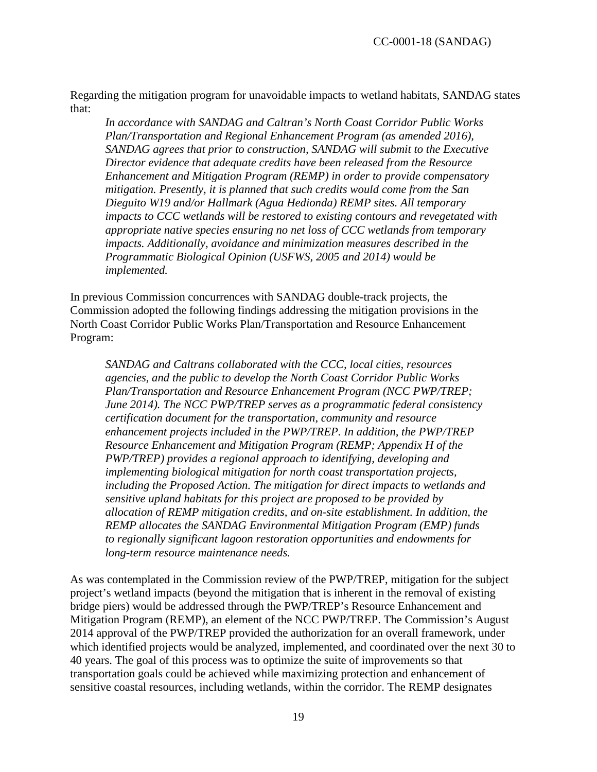Regarding the mitigation program for unavoidable impacts to wetland habitats, SANDAG states that:

*In accordance with SANDAG and Caltran's North Coast Corridor Public Works Plan/Transportation and Regional Enhancement Program (as amended 2016), SANDAG agrees that prior to construction, SANDAG will submit to the Executive Director evidence that adequate credits have been released from the Resource Enhancement and Mitigation Program (REMP) in order to provide compensatory mitigation. Presently, it is planned that such credits would come from the San Dieguito W19 and/or Hallmark (Agua Hedionda) REMP sites. All temporary impacts to CCC wetlands will be restored to existing contours and revegetated with appropriate native species ensuring no net loss of CCC wetlands from temporary impacts. Additionally, avoidance and minimization measures described in the Programmatic Biological Opinion (USFWS, 2005 and 2014) would be implemented.*

In previous Commission concurrences with SANDAG double-track projects, the Commission adopted the following findings addressing the mitigation provisions in the North Coast Corridor Public Works Plan/Transportation and Resource Enhancement Program:

*SANDAG and Caltrans collaborated with the CCC, local cities, resources agencies, and the public to develop the North Coast Corridor Public Works Plan/Transportation and Resource Enhancement Program (NCC PWP/TREP; June 2014). The NCC PWP/TREP serves as a programmatic federal consistency certification document for the transportation, community and resource enhancement projects included in the PWP/TREP. In addition, the PWP/TREP Resource Enhancement and Mitigation Program (REMP; Appendix H of the PWP/TREP) provides a regional approach to identifying, developing and implementing biological mitigation for north coast transportation projects, including the Proposed Action. The mitigation for direct impacts to wetlands and sensitive upland habitats for this project are proposed to be provided by allocation of REMP mitigation credits, and on-site establishment. In addition, the REMP allocates the SANDAG Environmental Mitigation Program (EMP) funds to regionally significant lagoon restoration opportunities and endowments for long-term resource maintenance needs.*

As was contemplated in the Commission review of the PWP/TREP, mitigation for the subject project's wetland impacts (beyond the mitigation that is inherent in the removal of existing bridge piers) would be addressed through the PWP/TREP's Resource Enhancement and Mitigation Program (REMP), an element of the NCC PWP/TREP. The Commission's August 2014 approval of the PWP/TREP provided the authorization for an overall framework, under which identified projects would be analyzed, implemented, and coordinated over the next 30 to 40 years. The goal of this process was to optimize the suite of improvements so that transportation goals could be achieved while maximizing protection and enhancement of sensitive coastal resources, including wetlands, within the corridor. The REMP designates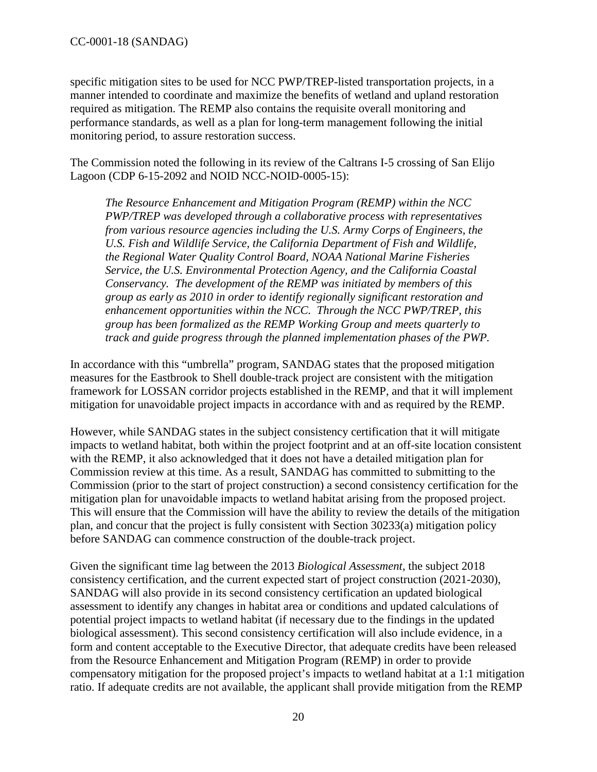specific mitigation sites to be used for NCC PWP/TREP-listed transportation projects, in a manner intended to coordinate and maximize the benefits of wetland and upland restoration required as mitigation. The REMP also contains the requisite overall monitoring and performance standards, as well as a plan for long-term management following the initial monitoring period, to assure restoration success.

The Commission noted the following in its review of the Caltrans I-5 crossing of San Elijo Lagoon (CDP 6-15-2092 and NOID NCC-NOID-0005-15):

*The Resource Enhancement and Mitigation Program (REMP) within the NCC PWP/TREP was developed through a collaborative process with representatives from various resource agencies including the U.S. Army Corps of Engineers, the U.S. Fish and Wildlife Service, the California Department of Fish and Wildlife, the Regional Water Quality Control Board, NOAA National Marine Fisheries Service, the U.S. Environmental Protection Agency, and the California Coastal Conservancy. The development of the REMP was initiated by members of this group as early as 2010 in order to identify regionally significant restoration and enhancement opportunities within the NCC. Through the NCC PWP/TREP, this group has been formalized as the REMP Working Group and meets quarterly to track and guide progress through the planned implementation phases of the PWP.* 

In accordance with this "umbrella" program, SANDAG states that the proposed mitigation measures for the Eastbrook to Shell double-track project are consistent with the mitigation framework for LOSSAN corridor projects established in the REMP, and that it will implement mitigation for unavoidable project impacts in accordance with and as required by the REMP.

However, while SANDAG states in the subject consistency certification that it will mitigate impacts to wetland habitat, both within the project footprint and at an off-site location consistent with the REMP, it also acknowledged that it does not have a detailed mitigation plan for Commission review at this time. As a result, SANDAG has committed to submitting to the Commission (prior to the start of project construction) a second consistency certification for the mitigation plan for unavoidable impacts to wetland habitat arising from the proposed project. This will ensure that the Commission will have the ability to review the details of the mitigation plan, and concur that the project is fully consistent with Section 30233(a) mitigation policy before SANDAG can commence construction of the double-track project.

Given the significant time lag between the 2013 *Biological Assessment*, the subject 2018 consistency certification, and the current expected start of project construction (2021-2030), SANDAG will also provide in its second consistency certification an updated biological assessment to identify any changes in habitat area or conditions and updated calculations of potential project impacts to wetland habitat (if necessary due to the findings in the updated biological assessment). This second consistency certification will also include evidence, in a form and content acceptable to the Executive Director, that adequate credits have been released from the Resource Enhancement and Mitigation Program (REMP) in order to provide compensatory mitigation for the proposed project's impacts to wetland habitat at a 1:1 mitigation ratio. If adequate credits are not available, the applicant shall provide mitigation from the REMP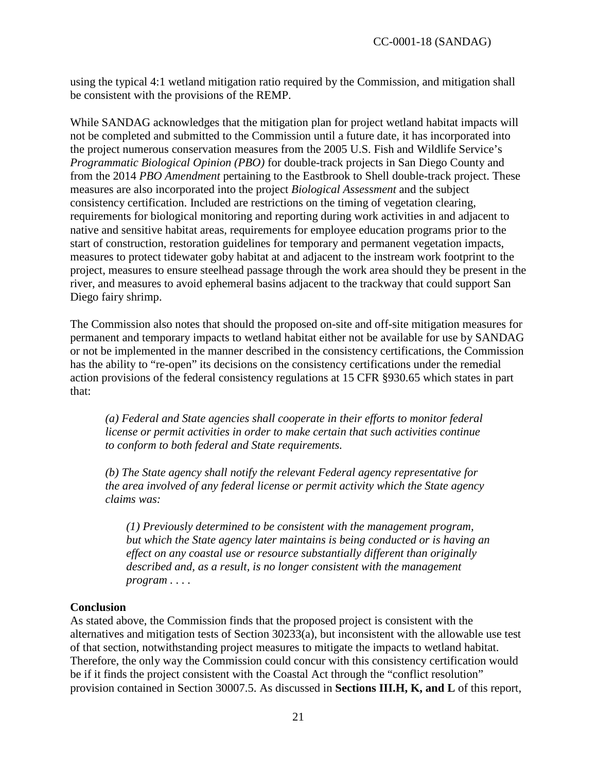using the typical 4:1 wetland mitigation ratio required by the Commission, and mitigation shall be consistent with the provisions of the REMP.

While SANDAG acknowledges that the mitigation plan for project wetland habitat impacts will not be completed and submitted to the Commission until a future date, it has incorporated into the project numerous conservation measures from the 2005 U.S. Fish and Wildlife Service's *Programmatic Biological Opinion (PBO)* for double-track projects in San Diego County and from the 2014 *PBO Amendment* pertaining to the Eastbrook to Shell double-track project. These measures are also incorporated into the project *Biological Assessment* and the subject consistency certification. Included are restrictions on the timing of vegetation clearing, requirements for biological monitoring and reporting during work activities in and adjacent to native and sensitive habitat areas, requirements for employee education programs prior to the start of construction, restoration guidelines for temporary and permanent vegetation impacts, measures to protect tidewater goby habitat at and adjacent to the instream work footprint to the project, measures to ensure steelhead passage through the work area should they be present in the river, and measures to avoid ephemeral basins adjacent to the trackway that could support San Diego fairy shrimp.

The Commission also notes that should the proposed on-site and off-site mitigation measures for permanent and temporary impacts to wetland habitat either not be available for use by SANDAG or not be implemented in the manner described in the consistency certifications, the Commission has the ability to "re-open" its decisions on the consistency certifications under the remedial action provisions of the federal consistency regulations at 15 CFR §930.65 which states in part that:

*(a) Federal and State agencies shall cooperate in their efforts to monitor federal license or permit activities in order to make certain that such activities continue to conform to both federal and State requirements.* 

*(b) The State agency shall notify the relevant Federal agency representative for the area involved of any federal license or permit activity which the State agency claims was:* 

*(1) Previously determined to be consistent with the management program, but which the State agency later maintains is being conducted or is having an effect on any coastal use or resource substantially different than originally described and, as a result, is no longer consistent with the management program . . . .* 

#### **Conclusion**

As stated above, the Commission finds that the proposed project is consistent with the alternatives and mitigation tests of Section 30233(a), but inconsistent with the allowable use test of that section, notwithstanding project measures to mitigate the impacts to wetland habitat. Therefore, the only way the Commission could concur with this consistency certification would be if it finds the project consistent with the Coastal Act through the "conflict resolution" provision contained in Section 30007.5. As discussed in **Sections III.H, K, and L** of this report,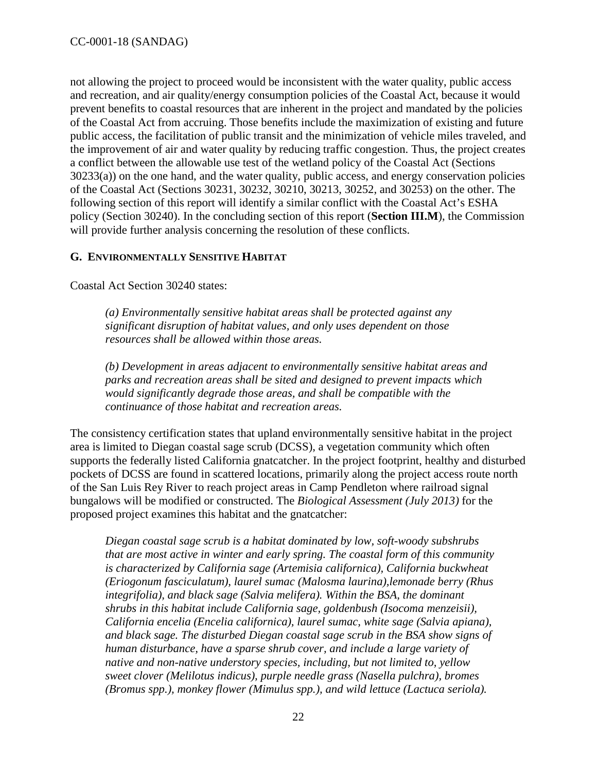not allowing the project to proceed would be inconsistent with the water quality, public access and recreation, and air quality/energy consumption policies of the Coastal Act, because it would prevent benefits to coastal resources that are inherent in the project and mandated by the policies of the Coastal Act from accruing. Those benefits include the maximization of existing and future public access, the facilitation of public transit and the minimization of vehicle miles traveled, and the improvement of air and water quality by reducing traffic congestion. Thus, the project creates a conflict between the allowable use test of the wetland policy of the Coastal Act (Sections 30233(a)) on the one hand, and the water quality, public access, and energy conservation policies of the Coastal Act (Sections 30231, 30232, 30210, 30213, 30252, and 30253) on the other. The following section of this report will identify a similar conflict with the Coastal Act's ESHA policy (Section 30240). In the concluding section of this report (**Section III.M**), the Commission will provide further analysis concerning the resolution of these conflicts.

### <span id="page-21-0"></span>**G. ENVIRONMENTALLY SENSITIVE HABITAT**

Coastal Act Section 30240 states:

*(a) Environmentally sensitive habitat areas shall be protected against any significant disruption of habitat values, and only uses dependent on those resources shall be allowed within those areas.* 

*(b) Development in areas adjacent to environmentally sensitive habitat areas and parks and recreation areas shall be sited and designed to prevent impacts which would significantly degrade those areas, and shall be compatible with the continuance of those habitat and recreation areas.* 

The consistency certification states that upland environmentally sensitive habitat in the project area is limited to Diegan coastal sage scrub (DCSS), a vegetation community which often supports the federally listed California gnatcatcher. In the project footprint, healthy and disturbed pockets of DCSS are found in scattered locations, primarily along the project access route north of the San Luis Rey River to reach project areas in Camp Pendleton where railroad signal bungalows will be modified or constructed. The *Biological Assessment (July 2013)* for the proposed project examines this habitat and the gnatcatcher:

*Diegan coastal sage scrub is a habitat dominated by low, soft-woody subshrubs that are most active in winter and early spring. The coastal form of this community is characterized by California sage (Artemisia californica), California buckwheat (Eriogonum fasciculatum), laurel sumac (Malosma laurina),lemonade berry (Rhus integrifolia), and black sage (Salvia melifera). Within the BSA, the dominant shrubs in this habitat include California sage, goldenbush (Isocoma menzeisii), California encelia (Encelia californica), laurel sumac, white sage (Salvia apiana), and black sage. The disturbed Diegan coastal sage scrub in the BSA show signs of human disturbance, have a sparse shrub cover, and include a large variety of native and non-native understory species, including, but not limited to, yellow sweet clover (Melilotus indicus), purple needle grass (Nasella pulchra), bromes (Bromus spp.), monkey flower (Mimulus spp.), and wild lettuce (Lactuca seriola).*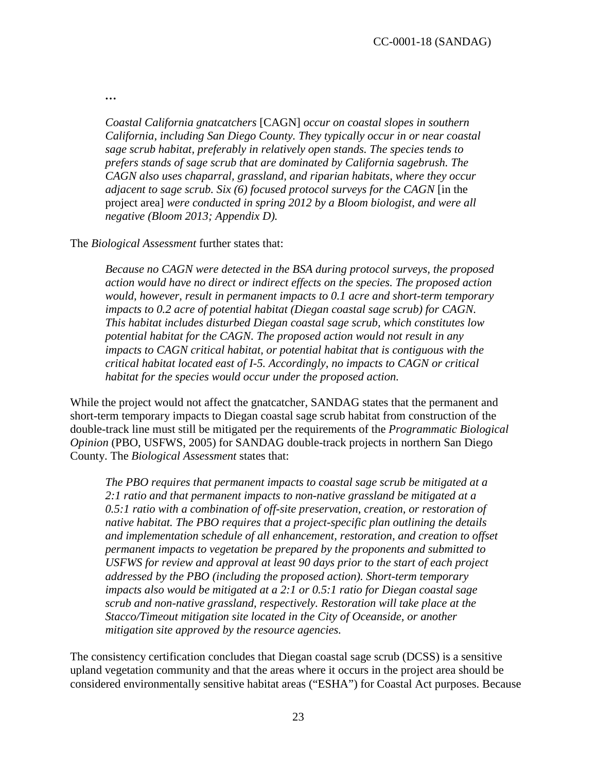*…* 

*Coastal California gnatcatchers* [CAGN] *occur on coastal slopes in southern California, including San Diego County. They typically occur in or near coastal sage scrub habitat, preferably in relatively open stands. The species tends to prefers stands of sage scrub that are dominated by California sagebrush. The CAGN also uses chaparral, grassland, and riparian habitats, where they occur adjacent to sage scrub. Six (6) focused protocol surveys for the CAGN* [in the project area] *were conducted in spring 2012 by a Bloom biologist, and were all negative (Bloom 2013; Appendix D).* 

The *Biological Assessment* further states that:

*Because no CAGN were detected in the BSA during protocol surveys, the proposed action would have no direct or indirect effects on the species. The proposed action would, however, result in permanent impacts to 0.1 acre and short-term temporary impacts to 0.2 acre of potential habitat (Diegan coastal sage scrub) for CAGN. This habitat includes disturbed Diegan coastal sage scrub, which constitutes low potential habitat for the CAGN. The proposed action would not result in any impacts to CAGN critical habitat, or potential habitat that is contiguous with the critical habitat located east of I-5. Accordingly, no impacts to CAGN or critical habitat for the species would occur under the proposed action.* 

While the project would not affect the gnatcatcher, SANDAG states that the permanent and short-term temporary impacts to Diegan coastal sage scrub habitat from construction of the double-track line must still be mitigated per the requirements of the *Programmatic Biological Opinion* (PBO, USFWS, 2005) for SANDAG double-track projects in northern San Diego County. The *Biological Assessment* states that:

*The PBO requires that permanent impacts to coastal sage scrub be mitigated at a 2:1 ratio and that permanent impacts to non-native grassland be mitigated at a 0.5:1 ratio with a combination of off-site preservation, creation, or restoration of native habitat. The PBO requires that a project-specific plan outlining the details and implementation schedule of all enhancement, restoration, and creation to offset permanent impacts to vegetation be prepared by the proponents and submitted to USFWS for review and approval at least 90 days prior to the start of each project addressed by the PBO (including the proposed action). Short-term temporary impacts also would be mitigated at a 2:1 or 0.5:1 ratio for Diegan coastal sage scrub and non-native grassland, respectively. Restoration will take place at the Stacco/Timeout mitigation site located in the City of Oceanside, or another mitigation site approved by the resource agencies.*

The consistency certification concludes that Diegan coastal sage scrub (DCSS) is a sensitive upland vegetation community and that the areas where it occurs in the project area should be considered environmentally sensitive habitat areas ("ESHA") for Coastal Act purposes. Because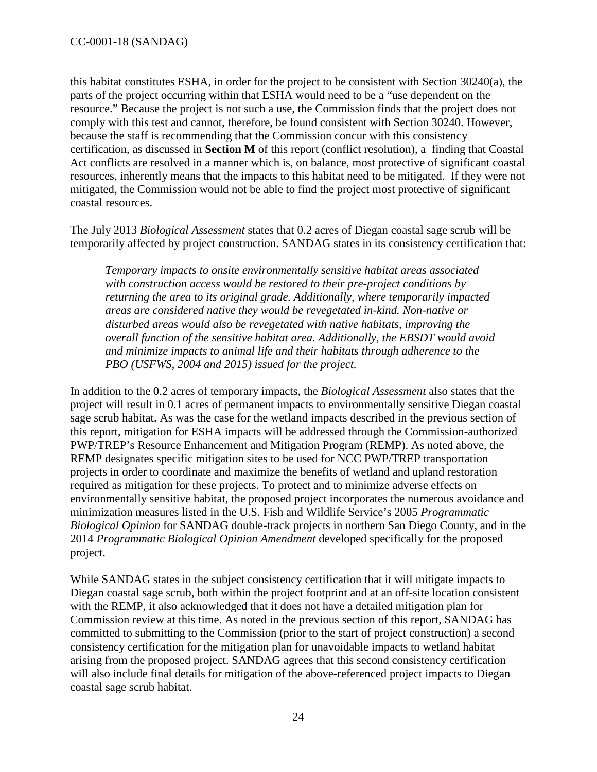this habitat constitutes ESHA, in order for the project to be consistent with Section 30240(a), the parts of the project occurring within that ESHA would need to be a "use dependent on the resource." Because the project is not such a use, the Commission finds that the project does not comply with this test and cannot, therefore, be found consistent with Section 30240. However, because the staff is recommending that the Commission concur with this consistency certification, as discussed in **Section M** of this report (conflict resolution), a finding that Coastal Act conflicts are resolved in a manner which is, on balance, most protective of significant coastal resources, inherently means that the impacts to this habitat need to be mitigated. If they were not mitigated, the Commission would not be able to find the project most protective of significant coastal resources.

The July 2013 *Biological Assessment* states that 0.2 acres of Diegan coastal sage scrub will be temporarily affected by project construction. SANDAG states in its consistency certification that:

*Temporary impacts to onsite environmentally sensitive habitat areas associated with construction access would be restored to their pre-project conditions by returning the area to its original grade. Additionally, where temporarily impacted areas are considered native they would be revegetated in-kind. Non-native or disturbed areas would also be revegetated with native habitats, improving the overall function of the sensitive habitat area. Additionally, the EBSDT would avoid and minimize impacts to animal life and their habitats through adherence to the PBO (USFWS, 2004 and 2015) issued for the project.* 

In addition to the 0.2 acres of temporary impacts, the *Biological Assessment* also states that the project will result in 0.1 acres of permanent impacts to environmentally sensitive Diegan coastal sage scrub habitat. As was the case for the wetland impacts described in the previous section of this report, mitigation for ESHA impacts will be addressed through the Commission-authorized PWP/TREP's Resource Enhancement and Mitigation Program (REMP). As noted above, the REMP designates specific mitigation sites to be used for NCC PWP/TREP transportation projects in order to coordinate and maximize the benefits of wetland and upland restoration required as mitigation for these projects. To protect and to minimize adverse effects on environmentally sensitive habitat, the proposed project incorporates the numerous avoidance and minimization measures listed in the U.S. Fish and Wildlife Service's 2005 *Programmatic Biological Opinion* for SANDAG double-track projects in northern San Diego County, and in the 2014 *Programmatic Biological Opinion Amendment* developed specifically for the proposed project.

While SANDAG states in the subject consistency certification that it will mitigate impacts to Diegan coastal sage scrub, both within the project footprint and at an off-site location consistent with the REMP, it also acknowledged that it does not have a detailed mitigation plan for Commission review at this time. As noted in the previous section of this report, SANDAG has committed to submitting to the Commission (prior to the start of project construction) a second consistency certification for the mitigation plan for unavoidable impacts to wetland habitat arising from the proposed project. SANDAG agrees that this second consistency certification will also include final details for mitigation of the above-referenced project impacts to Diegan coastal sage scrub habitat.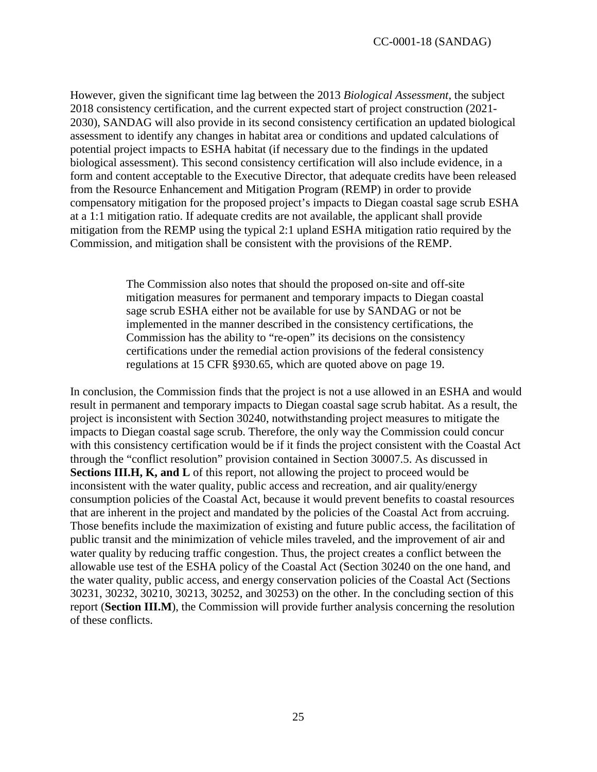However, given the significant time lag between the 2013 *Biological Assessment*, the subject 2018 consistency certification, and the current expected start of project construction (2021- 2030), SANDAG will also provide in its second consistency certification an updated biological assessment to identify any changes in habitat area or conditions and updated calculations of potential project impacts to ESHA habitat (if necessary due to the findings in the updated biological assessment). This second consistency certification will also include evidence, in a form and content acceptable to the Executive Director, that adequate credits have been released from the Resource Enhancement and Mitigation Program (REMP) in order to provide compensatory mitigation for the proposed project's impacts to Diegan coastal sage scrub ESHA at a 1:1 mitigation ratio. If adequate credits are not available, the applicant shall provide mitigation from the REMP using the typical 2:1 upland ESHA mitigation ratio required by the Commission, and mitigation shall be consistent with the provisions of the REMP.

> The Commission also notes that should the proposed on-site and off-site mitigation measures for permanent and temporary impacts to Diegan coastal sage scrub ESHA either not be available for use by SANDAG or not be implemented in the manner described in the consistency certifications, the Commission has the ability to "re-open" its decisions on the consistency certifications under the remedial action provisions of the federal consistency regulations at 15 CFR §930.65, which are quoted above on page 19.

In conclusion, the Commission finds that the project is not a use allowed in an ESHA and would result in permanent and temporary impacts to Diegan coastal sage scrub habitat. As a result, the project is inconsistent with Section 30240, notwithstanding project measures to mitigate the impacts to Diegan coastal sage scrub. Therefore, the only way the Commission could concur with this consistency certification would be if it finds the project consistent with the Coastal Act through the "conflict resolution" provision contained in Section 30007.5. As discussed in **Sections III.H, K, and L** of this report, not allowing the project to proceed would be inconsistent with the water quality, public access and recreation, and air quality/energy consumption policies of the Coastal Act, because it would prevent benefits to coastal resources that are inherent in the project and mandated by the policies of the Coastal Act from accruing. Those benefits include the maximization of existing and future public access, the facilitation of public transit and the minimization of vehicle miles traveled, and the improvement of air and water quality by reducing traffic congestion. Thus, the project creates a conflict between the allowable use test of the ESHA policy of the Coastal Act (Section 30240 on the one hand, and the water quality, public access, and energy conservation policies of the Coastal Act (Sections 30231, 30232, 30210, 30213, 30252, and 30253) on the other. In the concluding section of this report (**Section III.M**), the Commission will provide further analysis concerning the resolution of these conflicts.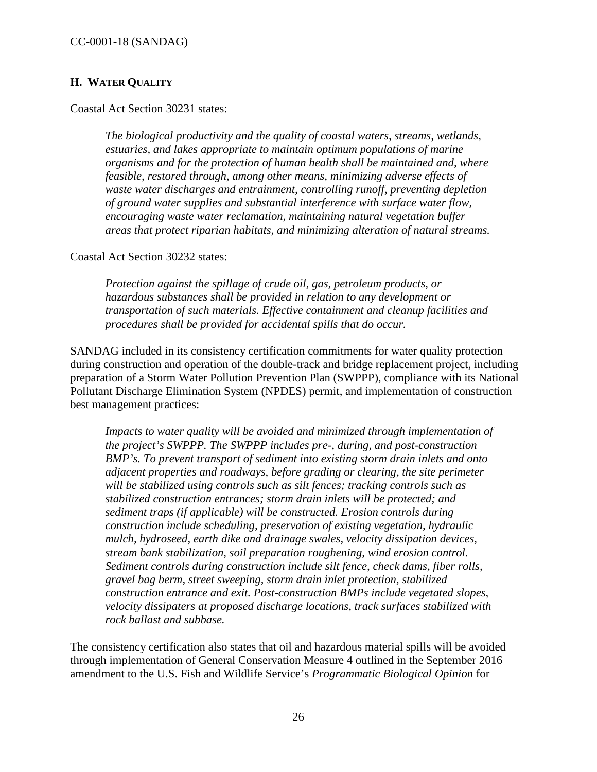### <span id="page-25-0"></span>**H. WATER QUALITY**

Coastal Act Section 30231 states:

*The biological productivity and the quality of coastal waters, streams, wetlands, estuaries, and lakes appropriate to maintain optimum populations of marine organisms and for the protection of human health shall be maintained and, where feasible, restored through, among other means, minimizing adverse effects of waste water discharges and entrainment, controlling runoff, preventing depletion of ground water supplies and substantial interference with surface water flow, encouraging waste water reclamation, maintaining natural vegetation buffer areas that protect riparian habitats, and minimizing alteration of natural streams.* 

Coastal Act Section 30232 states:

*Protection against the spillage of crude oil, gas, petroleum products, or hazardous substances shall be provided in relation to any development or transportation of such materials. Effective containment and cleanup facilities and procedures shall be provided for accidental spills that do occur.* 

SANDAG included in its consistency certification commitments for water quality protection during construction and operation of the double-track and bridge replacement project, including preparation of a Storm Water Pollution Prevention Plan (SWPPP), compliance with its National Pollutant Discharge Elimination System (NPDES) permit, and implementation of construction best management practices:

*Impacts to water quality will be avoided and minimized through implementation of the project's SWPPP. The SWPPP includes pre-, during, and post-construction BMP's. To prevent transport of sediment into existing storm drain inlets and onto adjacent properties and roadways, before grading or clearing, the site perimeter will be stabilized using controls such as silt fences; tracking controls such as stabilized construction entrances; storm drain inlets will be protected; and sediment traps (if applicable) will be constructed. Erosion controls during construction include scheduling, preservation of existing vegetation, hydraulic mulch, hydroseed, earth dike and drainage swales, velocity dissipation devices, stream bank stabilization, soil preparation roughening, wind erosion control. Sediment controls during construction include silt fence, check dams, fiber rolls, gravel bag berm, street sweeping, storm drain inlet protection, stabilized construction entrance and exit. Post-construction BMPs include vegetated slopes, velocity dissipaters at proposed discharge locations, track surfaces stabilized with rock ballast and subbase.* 

The consistency certification also states that oil and hazardous material spills will be avoided through implementation of General Conservation Measure 4 outlined in the September 2016 amendment to the U.S. Fish and Wildlife Service's *Programmatic Biological Opinion* for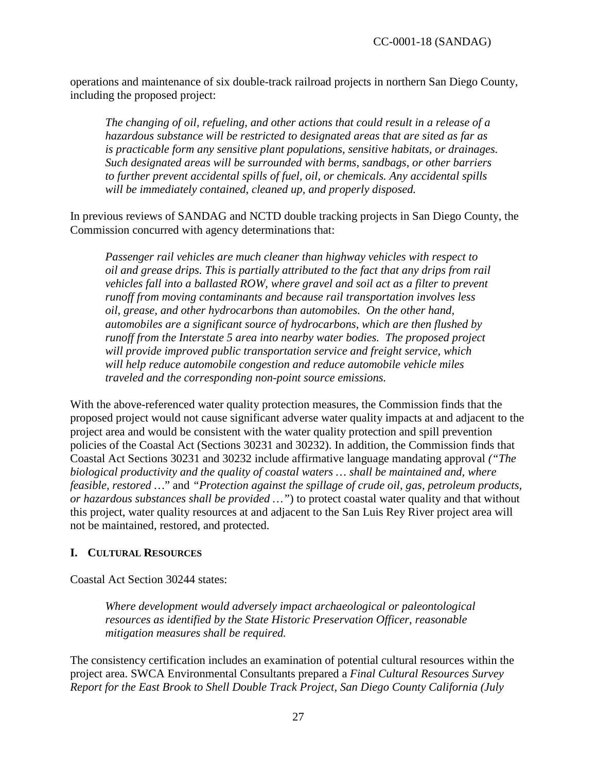operations and maintenance of six double-track railroad projects in northern San Diego County, including the proposed project:

*The changing of oil, refueling, and other actions that could result in a release of a hazardous substance will be restricted to designated areas that are sited as far as is practicable form any sensitive plant populations, sensitive habitats, or drainages. Such designated areas will be surrounded with berms, sandbags, or other barriers to further prevent accidental spills of fuel, oil, or chemicals. Any accidental spills will be immediately contained, cleaned up, and properly disposed.* 

In previous reviews of SANDAG and NCTD double tracking projects in San Diego County, the Commission concurred with agency determinations that:

*Passenger rail vehicles are much cleaner than highway vehicles with respect to oil and grease drips. This is partially attributed to the fact that any drips from rail vehicles fall into a ballasted ROW, where gravel and soil act as a filter to prevent runoff from moving contaminants and because rail transportation involves less oil, grease, and other hydrocarbons than automobiles. On the other hand, automobiles are a significant source of hydrocarbons, which are then flushed by runoff from the Interstate 5 area into nearby water bodies. The proposed project will provide improved public transportation service and freight service, which will help reduce automobile congestion and reduce automobile vehicle miles traveled and the corresponding non-point source emissions.* 

With the above-referenced water quality protection measures, the Commission finds that the proposed project would not cause significant adverse water quality impacts at and adjacent to the project area and would be consistent with the water quality protection and spill prevention policies of the Coastal Act (Sections 30231 and 30232). In addition, the Commission finds that Coastal Act Sections 30231 and 30232 include affirmative language mandating approval *("The biological productivity and the quality of coastal waters … shall be maintained and, where feasible, restored …*" and *"Protection against the spillage of crude oil, gas, petroleum products, or hazardous substances shall be provided …"*) to protect coastal water quality and that without this project, water quality resources at and adjacent to the San Luis Rey River project area will not be maintained, restored, and protected.

### <span id="page-26-0"></span>**I. CULTURAL RESOURCES**

Coastal Act Section 30244 states:

*Where development would adversely impact archaeological or paleontological resources as identified by the State Historic Preservation Officer, reasonable mitigation measures shall be required.*

The consistency certification includes an examination of potential cultural resources within the project area. SWCA Environmental Consultants prepared a *Final Cultural Resources Survey Report for the East Brook to Shell Double Track Project, San Diego County California (July*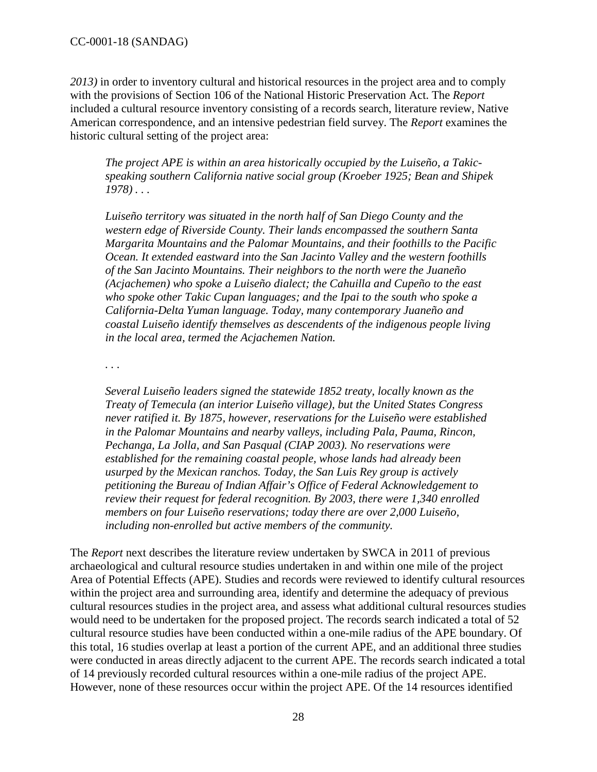*2013)* in order to inventory cultural and historical resources in the project area and to comply with the provisions of Section 106 of the National Historic Preservation Act. The *Report* included a cultural resource inventory consisting of a records search, literature review, Native American correspondence, and an intensive pedestrian field survey. The *Report* examines the historic cultural setting of the project area:

*The project APE is within an area historically occupied by the Luiseño, a Takicspeaking southern California native social group (Kroeber 1925; Bean and Shipek 1978) . . .* 

*Luiseño territory was situated in the north half of San Diego County and the western edge of Riverside County. Their lands encompassed the southern Santa Margarita Mountains and the Palomar Mountains, and their foothills to the Pacific Ocean. It extended eastward into the San Jacinto Valley and the western foothills of the San Jacinto Mountains. Their neighbors to the north were the Juaneño (Acjachemen) who spoke a Luiseño dialect; the Cahuilla and Cupeño to the east who spoke other Takic Cupan languages; and the Ipai to the south who spoke a California-Delta Yuman language. Today, many contemporary Juaneño and coastal Luiseño identify themselves as descendents of the indigenous people living in the local area, termed the Acjachemen Nation.* 

*. . .* 

*Several Luiseño leaders signed the statewide 1852 treaty, locally known as the Treaty of Temecula (an interior Luiseño village), but the United States Congress never ratified it. By 1875, however, reservations for the Luiseño were established in the Palomar Mountains and nearby valleys, including Pala, Pauma, Rincon, Pechanga, La Jolla, and San Pasqual (CIAP 2003). No reservations were established for the remaining coastal people, whose lands had already been usurped by the Mexican ranchos. Today, the San Luis Rey group is actively petitioning the Bureau of Indian Affair's Office of Federal Acknowledgement to review their request for federal recognition. By 2003, there were 1,340 enrolled members on four Luiseño reservations; today there are over 2,000 Luiseño, including non-enrolled but active members of the community.*

The *Report* next describes the literature review undertaken by SWCA in 2011 of previous archaeological and cultural resource studies undertaken in and within one mile of the project Area of Potential Effects (APE). Studies and records were reviewed to identify cultural resources within the project area and surrounding area, identify and determine the adequacy of previous cultural resources studies in the project area, and assess what additional cultural resources studies would need to be undertaken for the proposed project. The records search indicated a total of 52 cultural resource studies have been conducted within a one-mile radius of the APE boundary. Of this total, 16 studies overlap at least a portion of the current APE, and an additional three studies were conducted in areas directly adjacent to the current APE. The records search indicated a total of 14 previously recorded cultural resources within a one-mile radius of the project APE. However, none of these resources occur within the project APE. Of the 14 resources identified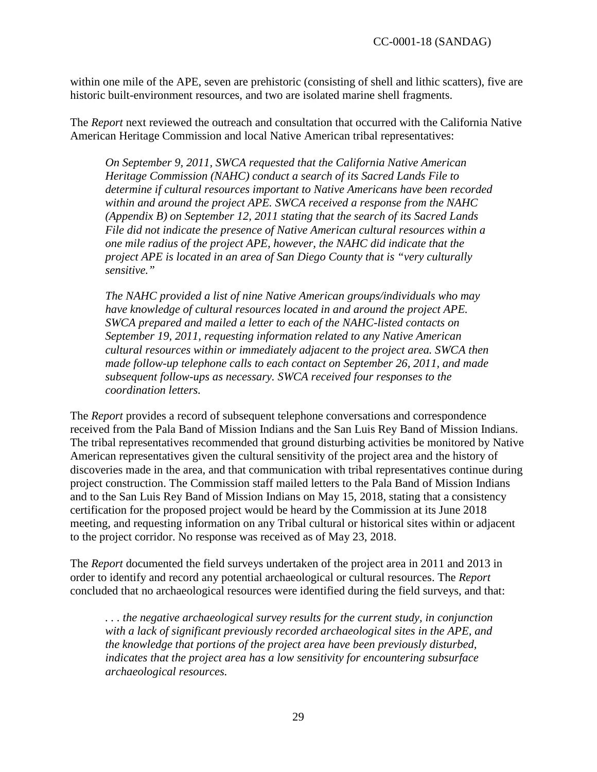within one mile of the APE, seven are prehistoric (consisting of shell and lithic scatters), five are historic built-environment resources, and two are isolated marine shell fragments.

The *Report* next reviewed the outreach and consultation that occurred with the California Native American Heritage Commission and local Native American tribal representatives:

*On September 9, 2011, SWCA requested that the California Native American Heritage Commission (NAHC) conduct a search of its Sacred Lands File to determine if cultural resources important to Native Americans have been recorded within and around the project APE. SWCA received a response from the NAHC (Appendix B) on September 12, 2011 stating that the search of its Sacred Lands File did not indicate the presence of Native American cultural resources within a one mile radius of the project APE, however, the NAHC did indicate that the project APE is located in an area of San Diego County that is "very culturally sensitive."*

*The NAHC provided a list of nine Native American groups/individuals who may have knowledge of cultural resources located in and around the project APE. SWCA prepared and mailed a letter to each of the NAHC-listed contacts on September 19, 2011, requesting information related to any Native American cultural resources within or immediately adjacent to the project area. SWCA then made follow-up telephone calls to each contact on September 26, 2011, and made subsequent follow-ups as necessary. SWCA received four responses to the coordination letters.* 

The *Report* provides a record of subsequent telephone conversations and correspondence received from the Pala Band of Mission Indians and the San Luis Rey Band of Mission Indians. The tribal representatives recommended that ground disturbing activities be monitored by Native American representatives given the cultural sensitivity of the project area and the history of discoveries made in the area, and that communication with tribal representatives continue during project construction. The Commission staff mailed letters to the Pala Band of Mission Indians and to the San Luis Rey Band of Mission Indians on May 15, 2018, stating that a consistency certification for the proposed project would be heard by the Commission at its June 2018 meeting, and requesting information on any Tribal cultural or historical sites within or adjacent to the project corridor. No response was received as of May 23, 2018.

The *Report* documented the field surveys undertaken of the project area in 2011 and 2013 in order to identify and record any potential archaeological or cultural resources. The *Report* concluded that no archaeological resources were identified during the field surveys, and that:

*. . . the negative archaeological survey results for the current study, in conjunction with a lack of significant previously recorded archaeological sites in the APE, and the knowledge that portions of the project area have been previously disturbed, indicates that the project area has a low sensitivity for encountering subsurface archaeological resources.*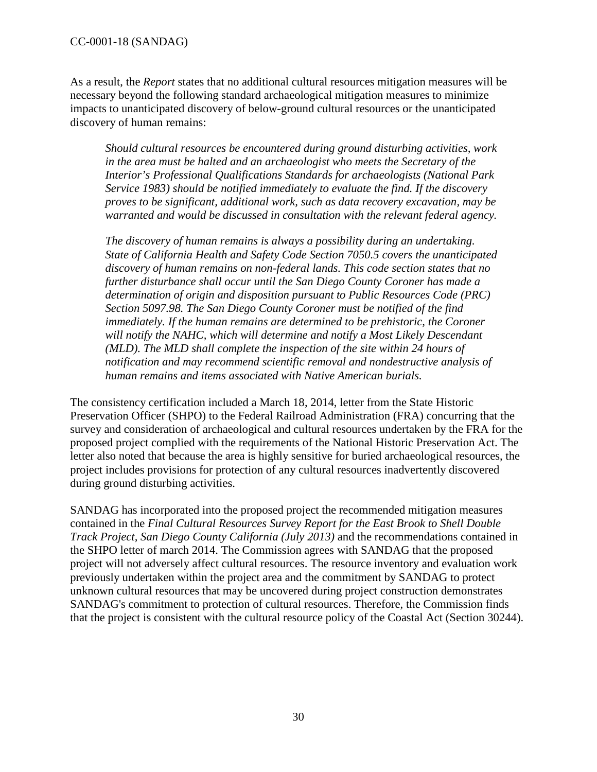As a result, the *Report* states that no additional cultural resources mitigation measures will be necessary beyond the following standard archaeological mitigation measures to minimize impacts to unanticipated discovery of below-ground cultural resources or the unanticipated discovery of human remains:

*Should cultural resources be encountered during ground disturbing activities, work in the area must be halted and an archaeologist who meets the Secretary of the Interior's Professional Qualifications Standards for archaeologists (National Park Service 1983) should be notified immediately to evaluate the find. If the discovery proves to be significant, additional work, such as data recovery excavation, may be warranted and would be discussed in consultation with the relevant federal agency.* 

*The discovery of human remains is always a possibility during an undertaking. State of California Health and Safety Code Section 7050.5 covers the unanticipated discovery of human remains on non-federal lands. This code section states that no further disturbance shall occur until the San Diego County Coroner has made a determination of origin and disposition pursuant to Public Resources Code (PRC) Section 5097.98. The San Diego County Coroner must be notified of the find immediately. If the human remains are determined to be prehistoric, the Coroner*  will notify the NAHC, which will determine and notify a Most Likely Descendant *(MLD). The MLD shall complete the inspection of the site within 24 hours of notification and may recommend scientific removal and nondestructive analysis of human remains and items associated with Native American burials.* 

The consistency certification included a March 18, 2014, letter from the State Historic Preservation Officer (SHPO) to the Federal Railroad Administration (FRA) concurring that the survey and consideration of archaeological and cultural resources undertaken by the FRA for the proposed project complied with the requirements of the National Historic Preservation Act. The letter also noted that because the area is highly sensitive for buried archaeological resources, the project includes provisions for protection of any cultural resources inadvertently discovered during ground disturbing activities.

SANDAG has incorporated into the proposed project the recommended mitigation measures contained in the *Final Cultural Resources Survey Report for the East Brook to Shell Double Track Project, San Diego County California (July 2013)* and the recommendations contained in the SHPO letter of march 2014. The Commission agrees with SANDAG that the proposed project will not adversely affect cultural resources. The resource inventory and evaluation work previously undertaken within the project area and the commitment by SANDAG to protect unknown cultural resources that may be uncovered during project construction demonstrates SANDAG's commitment to protection of cultural resources. Therefore, the Commission finds that the project is consistent with the cultural resource policy of the Coastal Act (Section 30244).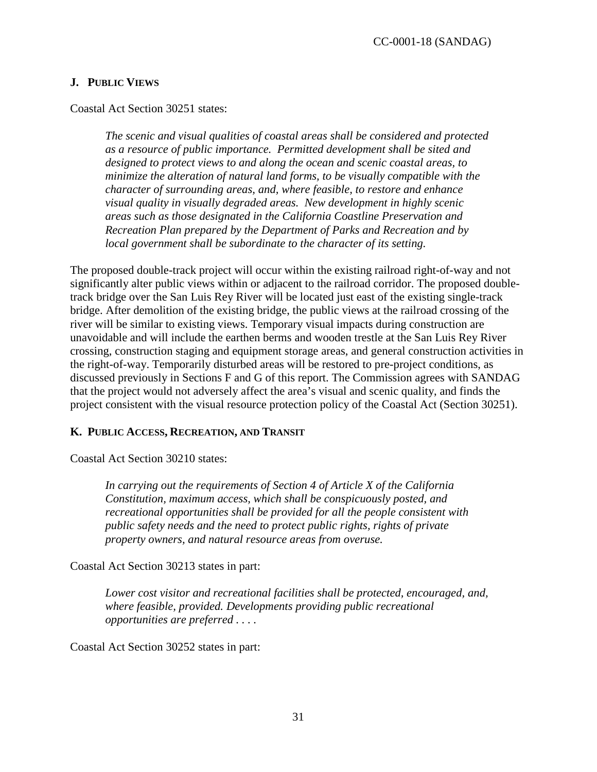### <span id="page-30-0"></span>**J. PUBLIC VIEWS**

Coastal Act Section 30251 states:

*The scenic and visual qualities of coastal areas shall be considered and protected as a resource of public importance. Permitted development shall be sited and designed to protect views to and along the ocean and scenic coastal areas, to minimize the alteration of natural land forms, to be visually compatible with the character of surrounding areas, and, where feasible, to restore and enhance visual quality in visually degraded areas. New development in highly scenic areas such as those designated in the California Coastline Preservation and Recreation Plan prepared by the Department of Parks and Recreation and by local government shall be subordinate to the character of its setting.* 

The proposed double-track project will occur within the existing railroad right-of-way and not significantly alter public views within or adjacent to the railroad corridor. The proposed doubletrack bridge over the San Luis Rey River will be located just east of the existing single-track bridge. After demolition of the existing bridge, the public views at the railroad crossing of the river will be similar to existing views. Temporary visual impacts during construction are unavoidable and will include the earthen berms and wooden trestle at the San Luis Rey River crossing, construction staging and equipment storage areas, and general construction activities in the right-of-way. Temporarily disturbed areas will be restored to pre-project conditions, as discussed previously in Sections F and G of this report. The Commission agrees with SANDAG that the project would not adversely affect the area's visual and scenic quality, and finds the project consistent with the visual resource protection policy of the Coastal Act (Section 30251).

### <span id="page-30-1"></span>**K. PUBLIC ACCESS, RECREATION, AND TRANSIT**

Coastal Act Section 30210 states:

*In carrying out the requirements of Section 4 of Article X of the California Constitution, maximum access, which shall be conspicuously posted, and recreational opportunities shall be provided for all the people consistent with public safety needs and the need to protect public rights, rights of private property owners, and natural resource areas from overuse.* 

Coastal Act Section 30213 states in part:

*Lower cost visitor and recreational facilities shall be protected, encouraged, and, where feasible, provided. Developments providing public recreational opportunities are preferred . . . .* 

Coastal Act Section 30252 states in part: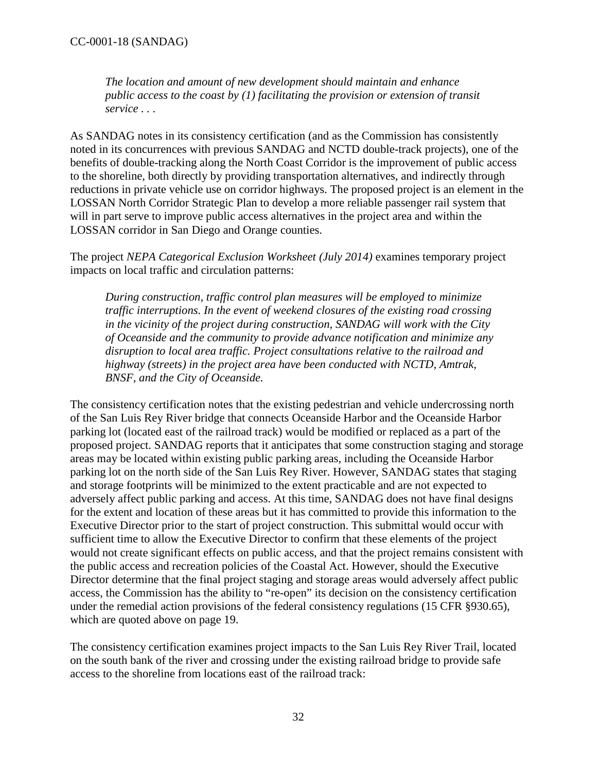*The location and amount of new development should maintain and enhance public access to the coast by (1) facilitating the provision or extension of transit service . . .* 

As SANDAG notes in its consistency certification (and as the Commission has consistently noted in its concurrences with previous SANDAG and NCTD double-track projects), one of the benefits of double-tracking along the North Coast Corridor is the improvement of public access to the shoreline, both directly by providing transportation alternatives, and indirectly through reductions in private vehicle use on corridor highways. The proposed project is an element in the LOSSAN North Corridor Strategic Plan to develop a more reliable passenger rail system that will in part serve to improve public access alternatives in the project area and within the LOSSAN corridor in San Diego and Orange counties.

The project *NEPA Categorical Exclusion Worksheet (July 2014)* examines temporary project impacts on local traffic and circulation patterns:

*During construction, traffic control plan measures will be employed to minimize traffic interruptions. In the event of weekend closures of the existing road crossing in the vicinity of the project during construction, SANDAG will work with the City of Oceanside and the community to provide advance notification and minimize any disruption to local area traffic. Project consultations relative to the railroad and highway (streets) in the project area have been conducted with NCTD, Amtrak, BNSF, and the City of Oceanside.* 

The consistency certification notes that the existing pedestrian and vehicle undercrossing north of the San Luis Rey River bridge that connects Oceanside Harbor and the Oceanside Harbor parking lot (located east of the railroad track) would be modified or replaced as a part of the proposed project. SANDAG reports that it anticipates that some construction staging and storage areas may be located within existing public parking areas, including the Oceanside Harbor parking lot on the north side of the San Luis Rey River. However, SANDAG states that staging and storage footprints will be minimized to the extent practicable and are not expected to adversely affect public parking and access. At this time, SANDAG does not have final designs for the extent and location of these areas but it has committed to provide this information to the Executive Director prior to the start of project construction. This submittal would occur with sufficient time to allow the Executive Director to confirm that these elements of the project would not create significant effects on public access, and that the project remains consistent with the public access and recreation policies of the Coastal Act. However, should the Executive Director determine that the final project staging and storage areas would adversely affect public access, the Commission has the ability to "re-open" its decision on the consistency certification under the remedial action provisions of the federal consistency regulations (15 CFR §930.65), which are quoted above on page 19.

The consistency certification examines project impacts to the San Luis Rey River Trail, located on the south bank of the river and crossing under the existing railroad bridge to provide safe access to the shoreline from locations east of the railroad track: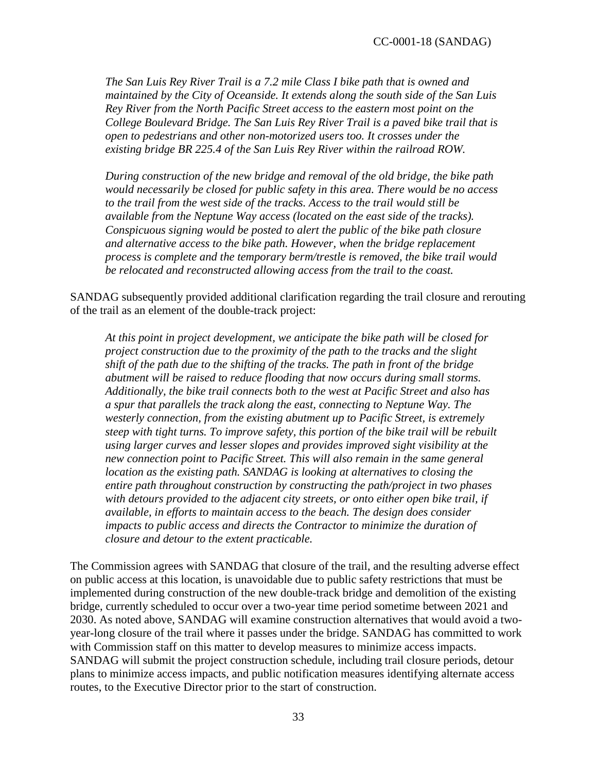*The San Luis Rey River Trail is a 7.2 mile Class I bike path that is owned and maintained by the City of Oceanside. It extends along the south side of the San Luis Rey River from the North Pacific Street access to the eastern most point on the College Boulevard Bridge. The San Luis Rey River Trail is a paved bike trail that is open to pedestrians and other non-motorized users too. It crosses under the existing bridge BR 225.4 of the San Luis Rey River within the railroad ROW.* 

*During construction of the new bridge and removal of the old bridge, the bike path would necessarily be closed for public safety in this area. There would be no access to the trail from the west side of the tracks. Access to the trail would still be available from the Neptune Way access (located on the east side of the tracks). Conspicuous signing would be posted to alert the public of the bike path closure and alternative access to the bike path. However, when the bridge replacement process is complete and the temporary berm/trestle is removed, the bike trail would be relocated and reconstructed allowing access from the trail to the coast.* 

SANDAG subsequently provided additional clarification regarding the trail closure and rerouting of the trail as an element of the double-track project:

*At this point in project development, we anticipate the bike path will be closed for project construction due to the proximity of the path to the tracks and the slight shift of the path due to the shifting of the tracks. The path in front of the bridge abutment will be raised to reduce flooding that now occurs during small storms. Additionally, the bike trail connects both to the west at Pacific Street and also has a spur that parallels the track along the east, connecting to Neptune Way. The westerly connection, from the existing abutment up to Pacific Street, is extremely steep with tight turns. To improve safety, this portion of the bike trail will be rebuilt using larger curves and lesser slopes and provides improved sight visibility at the new connection point to Pacific Street. This will also remain in the same general location as the existing path. SANDAG is looking at alternatives to closing the entire path throughout construction by constructing the path/project in two phases with detours provided to the adjacent city streets, or onto either open bike trail, if available, in efforts to maintain access to the beach. The design does consider impacts to public access and directs the Contractor to minimize the duration of closure and detour to the extent practicable.* 

The Commission agrees with SANDAG that closure of the trail, and the resulting adverse effect on public access at this location, is unavoidable due to public safety restrictions that must be implemented during construction of the new double-track bridge and demolition of the existing bridge, currently scheduled to occur over a two-year time period sometime between 2021 and 2030. As noted above, SANDAG will examine construction alternatives that would avoid a twoyear-long closure of the trail where it passes under the bridge. SANDAG has committed to work with Commission staff on this matter to develop measures to minimize access impacts. SANDAG will submit the project construction schedule, including trail closure periods, detour plans to minimize access impacts, and public notification measures identifying alternate access routes, to the Executive Director prior to the start of construction.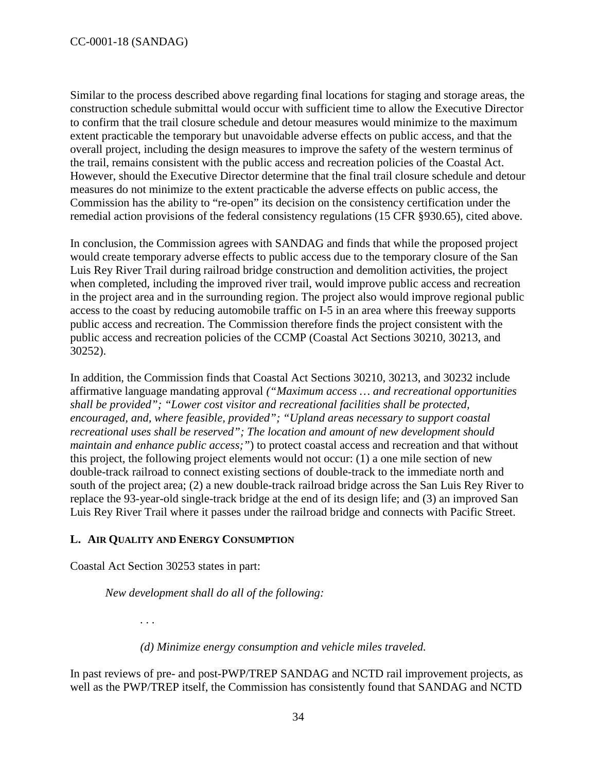Similar to the process described above regarding final locations for staging and storage areas, the construction schedule submittal would occur with sufficient time to allow the Executive Director to confirm that the trail closure schedule and detour measures would minimize to the maximum extent practicable the temporary but unavoidable adverse effects on public access, and that the overall project, including the design measures to improve the safety of the western terminus of the trail, remains consistent with the public access and recreation policies of the Coastal Act. However, should the Executive Director determine that the final trail closure schedule and detour measures do not minimize to the extent practicable the adverse effects on public access, the Commission has the ability to "re-open" its decision on the consistency certification under the remedial action provisions of the federal consistency regulations (15 CFR §930.65), cited above.

In conclusion, the Commission agrees with SANDAG and finds that while the proposed project would create temporary adverse effects to public access due to the temporary closure of the San Luis Rey River Trail during railroad bridge construction and demolition activities, the project when completed, including the improved river trail, would improve public access and recreation in the project area and in the surrounding region. The project also would improve regional public access to the coast by reducing automobile traffic on I-5 in an area where this freeway supports public access and recreation. The Commission therefore finds the project consistent with the public access and recreation policies of the CCMP (Coastal Act Sections 30210, 30213, and 30252).

In addition, the Commission finds that Coastal Act Sections 30210, 30213, and 30232 include affirmative language mandating approval *("Maximum access … and recreational opportunities shall be provided"; "Lower cost visitor and recreational facilities shall be protected, encouraged, and, where feasible, provided"; "Upland areas necessary to support coastal recreational uses shall be reserved"; The location and amount of new development should maintain and enhance public access;"*) to protect coastal access and recreation and that without this project, the following project elements would not occur: (1) a one mile section of new double-track railroad to connect existing sections of double-track to the immediate north and south of the project area; (2) a new double-track railroad bridge across the San Luis Rey River to replace the 93-year-old single-track bridge at the end of its design life; and (3) an improved San Luis Rey River Trail where it passes under the railroad bridge and connects with Pacific Street.

### <span id="page-33-0"></span>**L. AIR QUALITY AND ENERGY CONSUMPTION**

Coastal Act Section 30253 states in part:

*New development shall do all of the following:* 

*. . .* 

*(d) Minimize energy consumption and vehicle miles traveled.*

In past reviews of pre- and post-PWP/TREP SANDAG and NCTD rail improvement projects, as well as the PWP/TREP itself, the Commission has consistently found that SANDAG and NCTD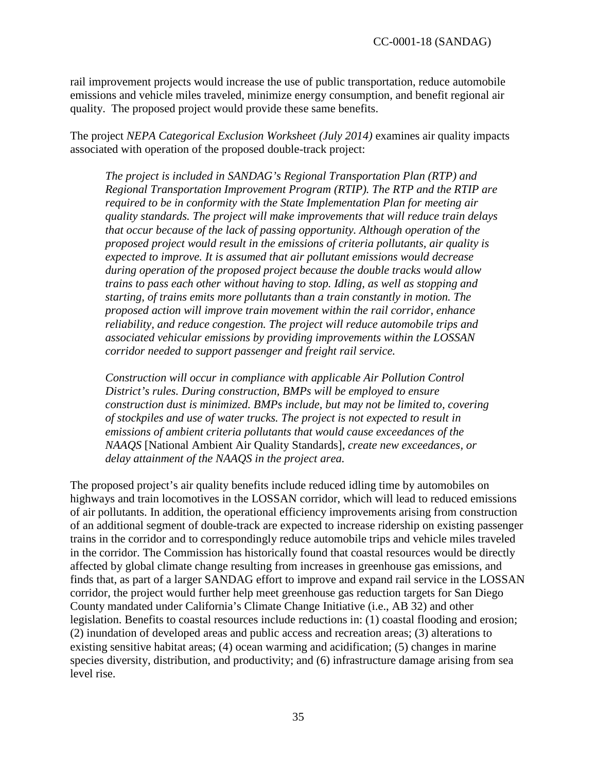rail improvement projects would increase the use of public transportation, reduce automobile emissions and vehicle miles traveled, minimize energy consumption, and benefit regional air quality. The proposed project would provide these same benefits.

The project *NEPA Categorical Exclusion Worksheet (July 2014)* examines air quality impacts associated with operation of the proposed double-track project:

*The project is included in SANDAG's Regional Transportation Plan (RTP) and Regional Transportation Improvement Program (RTIP). The RTP and the RTIP are required to be in conformity with the State Implementation Plan for meeting air quality standards. The project will make improvements that will reduce train delays that occur because of the lack of passing opportunity. Although operation of the proposed project would result in the emissions of criteria pollutants, air quality is expected to improve. It is assumed that air pollutant emissions would decrease during operation of the proposed project because the double tracks would allow trains to pass each other without having to stop. Idling, as well as stopping and starting, of trains emits more pollutants than a train constantly in motion. The proposed action will improve train movement within the rail corridor, enhance reliability, and reduce congestion. The project will reduce automobile trips and associated vehicular emissions by providing improvements within the LOSSAN corridor needed to support passenger and freight rail service.* 

*Construction will occur in compliance with applicable Air Pollution Control District's rules. During construction, BMPs will be employed to ensure construction dust is minimized. BMPs include, but may not be limited to, covering of stockpiles and use of water trucks. The project is not expected to result in emissions of ambient criteria pollutants that would cause exceedances of the NAAQS* [National Ambient Air Quality Standards], *create new exceedances, or delay attainment of the NAAQS in the project area.* 

The proposed project's air quality benefits include reduced idling time by automobiles on highways and train locomotives in the LOSSAN corridor, which will lead to reduced emissions of air pollutants. In addition, the operational efficiency improvements arising from construction of an additional segment of double-track are expected to increase ridership on existing passenger trains in the corridor and to correspondingly reduce automobile trips and vehicle miles traveled in the corridor. The Commission has historically found that coastal resources would be directly affected by global climate change resulting from increases in greenhouse gas emissions, and finds that, as part of a larger SANDAG effort to improve and expand rail service in the LOSSAN corridor, the project would further help meet greenhouse gas reduction targets for San Diego County mandated under California's Climate Change Initiative (i.e., AB 32) and other legislation. Benefits to coastal resources include reductions in: (1) coastal flooding and erosion; (2) inundation of developed areas and public access and recreation areas; (3) alterations to existing sensitive habitat areas; (4) ocean warming and acidification; (5) changes in marine species diversity, distribution, and productivity; and (6) infrastructure damage arising from sea level rise.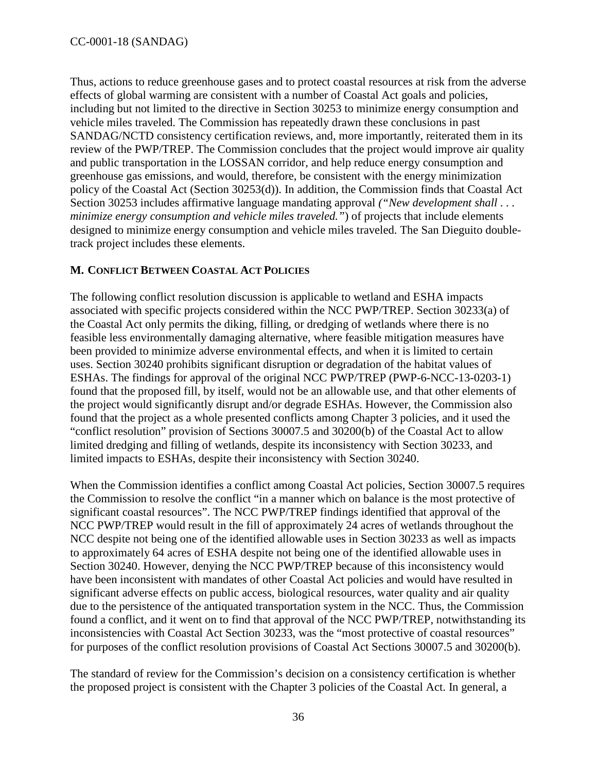Thus, actions to reduce greenhouse gases and to protect coastal resources at risk from the adverse effects of global warming are consistent with a number of Coastal Act goals and policies, including but not limited to the directive in Section 30253 to minimize energy consumption and vehicle miles traveled. The Commission has repeatedly drawn these conclusions in past SANDAG/NCTD consistency certification reviews, and, more importantly, reiterated them in its review of the PWP/TREP. The Commission concludes that the project would improve air quality and public transportation in the LOSSAN corridor, and help reduce energy consumption and greenhouse gas emissions, and would, therefore, be consistent with the energy minimization policy of the Coastal Act (Section 30253(d)). In addition, the Commission finds that Coastal Act Section 30253 includes affirmative language mandating approval *("New development shall . . . minimize energy consumption and vehicle miles traveled."*) of projects that include elements designed to minimize energy consumption and vehicle miles traveled. The San Dieguito doubletrack project includes these elements.

### <span id="page-35-0"></span>**M. CONFLICT BETWEEN COASTAL ACT POLICIES**

The following conflict resolution discussion is applicable to wetland and ESHA impacts associated with specific projects considered within the NCC PWP/TREP. Section 30233(a) of the Coastal Act only permits the diking, filling, or dredging of wetlands where there is no feasible less environmentally damaging alternative, where feasible mitigation measures have been provided to minimize adverse environmental effects, and when it is limited to certain uses. Section 30240 prohibits significant disruption or degradation of the habitat values of ESHAs. The findings for approval of the original NCC PWP/TREP (PWP-6-NCC-13-0203-1) found that the proposed fill, by itself, would not be an allowable use, and that other elements of the project would significantly disrupt and/or degrade ESHAs. However, the Commission also found that the project as a whole presented conflicts among Chapter 3 policies, and it used the "conflict resolution" provision of Sections 30007.5 and 30200(b) of the Coastal Act to allow limited dredging and filling of wetlands, despite its inconsistency with Section 30233, and limited impacts to ESHAs, despite their inconsistency with Section 30240.

When the Commission identifies a conflict among Coastal Act policies, Section 30007.5 requires the Commission to resolve the conflict "in a manner which on balance is the most protective of significant coastal resources". The NCC PWP/TREP findings identified that approval of the NCC PWP/TREP would result in the fill of approximately 24 acres of wetlands throughout the NCC despite not being one of the identified allowable uses in Section 30233 as well as impacts to approximately 64 acres of ESHA despite not being one of the identified allowable uses in Section 30240. However, denying the NCC PWP/TREP because of this inconsistency would have been inconsistent with mandates of other Coastal Act policies and would have resulted in significant adverse effects on public access, biological resources, water quality and air quality due to the persistence of the antiquated transportation system in the NCC. Thus, the Commission found a conflict, and it went on to find that approval of the NCC PWP/TREP, notwithstanding its inconsistencies with Coastal Act Section 30233, was the "most protective of coastal resources" for purposes of the conflict resolution provisions of Coastal Act Sections 30007.5 and 30200(b).

The standard of review for the Commission's decision on a consistency certification is whether the proposed project is consistent with the Chapter 3 policies of the Coastal Act. In general, a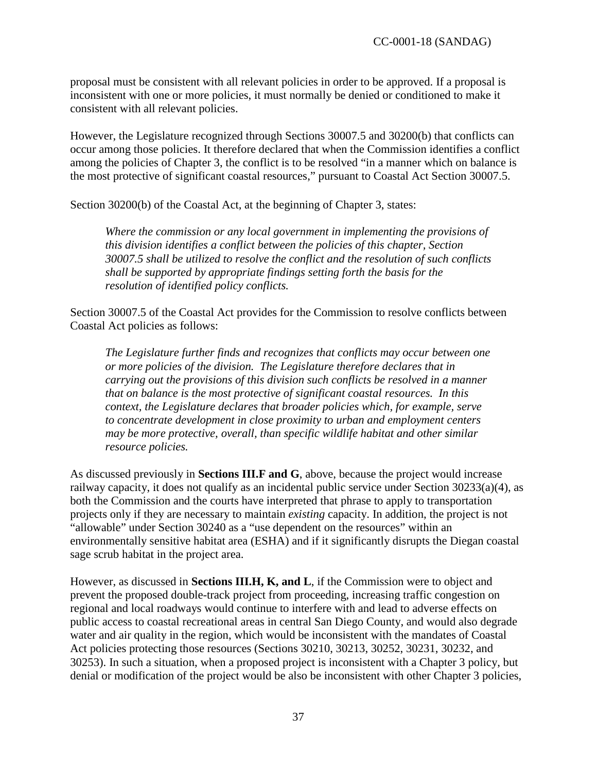proposal must be consistent with all relevant policies in order to be approved. If a proposal is inconsistent with one or more policies, it must normally be denied or conditioned to make it consistent with all relevant policies.

However, the Legislature recognized through Sections 30007.5 and 30200(b) that conflicts can occur among those policies. It therefore declared that when the Commission identifies a conflict among the policies of Chapter 3, the conflict is to be resolved "in a manner which on balance is the most protective of significant coastal resources," pursuant to Coastal Act Section 30007.5.

Section 30200(b) of the Coastal Act, at the beginning of Chapter 3, states:

*Where the commission or any local government in implementing the provisions of this division identifies a conflict between the policies of this chapter, Section 30007.5 shall be utilized to resolve the conflict and the resolution of such conflicts shall be supported by appropriate findings setting forth the basis for the resolution of identified policy conflicts.*

Section 30007.5 of the Coastal Act provides for the Commission to resolve conflicts between Coastal Act policies as follows:

*The Legislature further finds and recognizes that conflicts may occur between one or more policies of the division. The Legislature therefore declares that in carrying out the provisions of this division such conflicts be resolved in a manner that on balance is the most protective of significant coastal resources. In this context, the Legislature declares that broader policies which, for example, serve to concentrate development in close proximity to urban and employment centers may be more protective, overall, than specific wildlife habitat and other similar resource policies.* 

As discussed previously in **Sections III.F and G**, above, because the project would increase railway capacity, it does not qualify as an incidental public service under Section 30233(a)(4), as both the Commission and the courts have interpreted that phrase to apply to transportation projects only if they are necessary to maintain *existing* capacity. In addition, the project is not "allowable" under Section 30240 as a "use dependent on the resources" within an environmentally sensitive habitat area (ESHA) and if it significantly disrupts the Diegan coastal sage scrub habitat in the project area.

However, as discussed in **Sections III.H, K, and L**, if the Commission were to object and prevent the proposed double-track project from proceeding, increasing traffic congestion on regional and local roadways would continue to interfere with and lead to adverse effects on public access to coastal recreational areas in central San Diego County, and would also degrade water and air quality in the region, which would be inconsistent with the mandates of Coastal Act policies protecting those resources (Sections 30210, 30213, 30252, 30231, 30232, and 30253). In such a situation, when a proposed project is inconsistent with a Chapter 3 policy, but denial or modification of the project would be also be inconsistent with other Chapter 3 policies,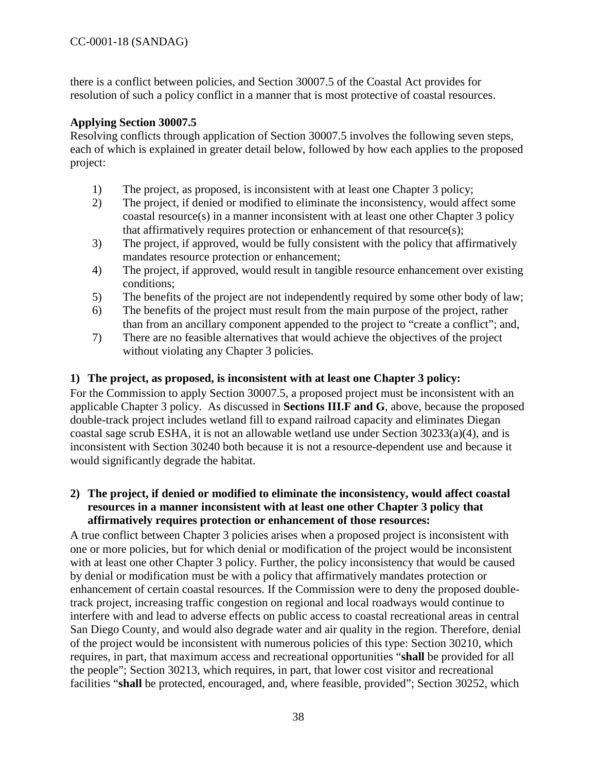there is a conflict between policies, and Section 30007.5 of the Coastal Act provides for resolution of such a policy conflict in a manner that is most protective of coastal resources.

### **Applying Section 30007.5**

Resolving conflicts through application of Section 30007.5 involves the following seven steps, each of which is explained in greater detail below, followed by how each applies to the proposed project:

- 1) The project, as proposed, is inconsistent with at least one Chapter 3 policy;
- 2) The project, if denied or modified to eliminate the inconsistency, would affect some coastal resource(s) in a manner inconsistent with at least one other Chapter 3 policy that affirmatively requires protection or enhancement of that resource(s);
- 3) The project, if approved, would be fully consistent with the policy that affirmatively mandates resource protection or enhancement;
- 4) The project, if approved, would result in tangible resource enhancement over existing conditions;
- 5) The benefits of the project are not independently required by some other body of law;
- 6) The benefits of the project must result from the main purpose of the project, rather than from an ancillary component appended to the project to "create a conflict"; and,
- 7) There are no feasible alternatives that would achieve the objectives of the project without violating any Chapter 3 policies.

### **1) The project, as proposed, is inconsistent with at least one Chapter 3 policy:**

For the Commission to apply Section 30007.5, a proposed project must be inconsistent with an applicable Chapter 3 policy. As discussed in **Sections III.F and G**, above, because the proposed double-track project includes wetland fill to expand railroad capacity and eliminates Diegan coastal sage scrub ESHA, it is not an allowable wetland use under Section 30233(a)(4), and is inconsistent with Section 30240 both because it is not a resource-dependent use and because it would significantly degrade the habitat.

### **2) The project, if denied or modified to eliminate the inconsistency, would affect coastal resources in a manner inconsistent with at least one other Chapter 3 policy that affirmatively requires protection or enhancement of those resources:**

A true conflict between Chapter 3 policies arises when a proposed project is inconsistent with one or more policies, but for which denial or modification of the project would be inconsistent with at least one other Chapter 3 policy. Further, the policy inconsistency that would be caused by denial or modification must be with a policy that affirmatively mandates protection or enhancement of certain coastal resources. If the Commission were to deny the proposed doubletrack project, increasing traffic congestion on regional and local roadways would continue to interfere with and lead to adverse effects on public access to coastal recreational areas in central San Diego County, and would also degrade water and air quality in the region. Therefore, denial of the project would be inconsistent with numerous policies of this type: Section 30210, which requires, in part, that maximum access and recreational opportunities "**shall** be provided for all the people"; Section 30213, which requires, in part, that lower cost visitor and recreational facilities "**shall** be protected, encouraged, and, where feasible, provided"; Section 30252, which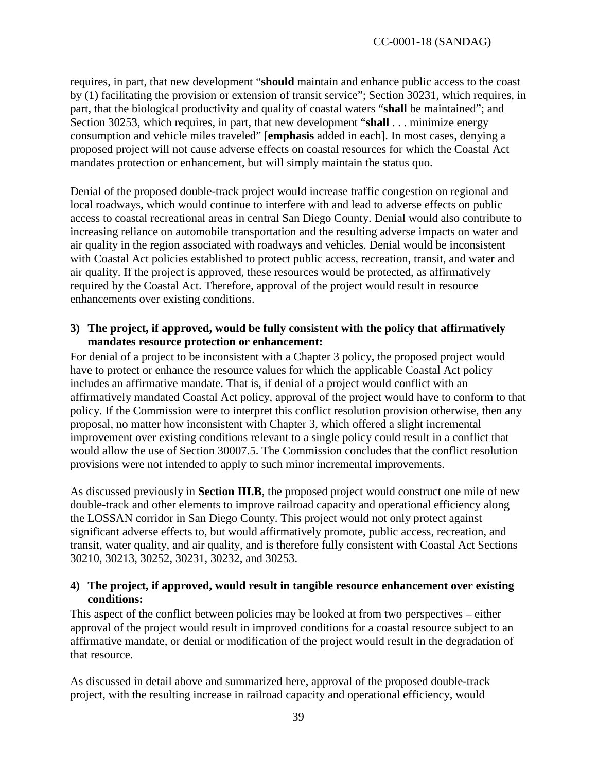requires, in part, that new development "**should** maintain and enhance public access to the coast by (1) facilitating the provision or extension of transit service"; Section 30231, which requires, in part, that the biological productivity and quality of coastal waters "**shall** be maintained"; and Section 30253, which requires, in part, that new development "**shall** . . . minimize energy consumption and vehicle miles traveled" [**emphasis** added in each]. In most cases, denying a proposed project will not cause adverse effects on coastal resources for which the Coastal Act mandates protection or enhancement, but will simply maintain the status quo.

Denial of the proposed double-track project would increase traffic congestion on regional and local roadways, which would continue to interfere with and lead to adverse effects on public access to coastal recreational areas in central San Diego County. Denial would also contribute to increasing reliance on automobile transportation and the resulting adverse impacts on water and air quality in the region associated with roadways and vehicles. Denial would be inconsistent with Coastal Act policies established to protect public access, recreation, transit, and water and air quality. If the project is approved, these resources would be protected, as affirmatively required by the Coastal Act. Therefore, approval of the project would result in resource enhancements over existing conditions.

#### **3) The project, if approved, would be fully consistent with the policy that affirmatively mandates resource protection or enhancement:**

For denial of a project to be inconsistent with a Chapter 3 policy, the proposed project would have to protect or enhance the resource values for which the applicable Coastal Act policy includes an affirmative mandate. That is, if denial of a project would conflict with an affirmatively mandated Coastal Act policy, approval of the project would have to conform to that policy. If the Commission were to interpret this conflict resolution provision otherwise, then any proposal, no matter how inconsistent with Chapter 3, which offered a slight incremental improvement over existing conditions relevant to a single policy could result in a conflict that would allow the use of Section 30007.5. The Commission concludes that the conflict resolution provisions were not intended to apply to such minor incremental improvements.

As discussed previously in **Section III.B**, the proposed project would construct one mile of new double-track and other elements to improve railroad capacity and operational efficiency along the LOSSAN corridor in San Diego County. This project would not only protect against significant adverse effects to, but would affirmatively promote, public access, recreation, and transit, water quality, and air quality, and is therefore fully consistent with Coastal Act Sections 30210, 30213, 30252, 30231, 30232, and 30253.

### **4) The project, if approved, would result in tangible resource enhancement over existing conditions:**

This aspect of the conflict between policies may be looked at from two perspectives – either approval of the project would result in improved conditions for a coastal resource subject to an affirmative mandate, or denial or modification of the project would result in the degradation of that resource.

As discussed in detail above and summarized here, approval of the proposed double-track project, with the resulting increase in railroad capacity and operational efficiency, would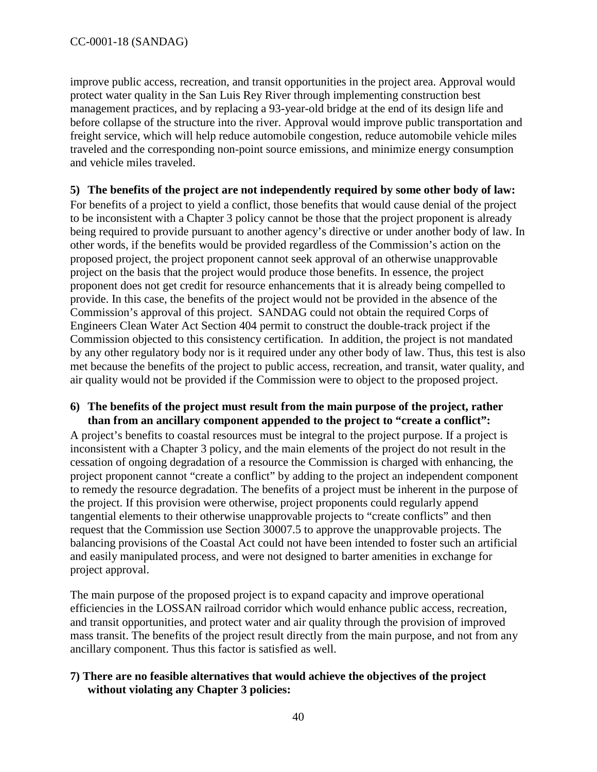improve public access, recreation, and transit opportunities in the project area. Approval would protect water quality in the San Luis Rey River through implementing construction best management practices, and by replacing a 93-year-old bridge at the end of its design life and before collapse of the structure into the river. Approval would improve public transportation and freight service, which will help reduce automobile congestion, reduce automobile vehicle miles traveled and the corresponding non-point source emissions, and minimize energy consumption and vehicle miles traveled.

### **5) The benefits of the project are not independently required by some other body of law:**

For benefits of a project to yield a conflict, those benefits that would cause denial of the project to be inconsistent with a Chapter 3 policy cannot be those that the project proponent is already being required to provide pursuant to another agency's directive or under another body of law. In other words, if the benefits would be provided regardless of the Commission's action on the proposed project, the project proponent cannot seek approval of an otherwise unapprovable project on the basis that the project would produce those benefits. In essence, the project proponent does not get credit for resource enhancements that it is already being compelled to provide. In this case, the benefits of the project would not be provided in the absence of the Commission's approval of this project. SANDAG could not obtain the required Corps of Engineers Clean Water Act Section 404 permit to construct the double-track project if the Commission objected to this consistency certification. In addition, the project is not mandated by any other regulatory body nor is it required under any other body of law. Thus, this test is also met because the benefits of the project to public access, recreation, and transit, water quality, and air quality would not be provided if the Commission were to object to the proposed project.

### **6) The benefits of the project must result from the main purpose of the project, rather than from an ancillary component appended to the project to "create a conflict":**

A project's benefits to coastal resources must be integral to the project purpose. If a project is inconsistent with a Chapter 3 policy, and the main elements of the project do not result in the cessation of ongoing degradation of a resource the Commission is charged with enhancing, the project proponent cannot "create a conflict" by adding to the project an independent component to remedy the resource degradation. The benefits of a project must be inherent in the purpose of the project. If this provision were otherwise, project proponents could regularly append tangential elements to their otherwise unapprovable projects to "create conflicts" and then request that the Commission use Section 30007.5 to approve the unapprovable projects. The balancing provisions of the Coastal Act could not have been intended to foster such an artificial and easily manipulated process, and were not designed to barter amenities in exchange for project approval.

The main purpose of the proposed project is to expand capacity and improve operational efficiencies in the LOSSAN railroad corridor which would enhance public access, recreation, and transit opportunities, and protect water and air quality through the provision of improved mass transit. The benefits of the project result directly from the main purpose, and not from any ancillary component. Thus this factor is satisfied as well.

### **7) There are no feasible alternatives that would achieve the objectives of the project without violating any Chapter 3 policies:**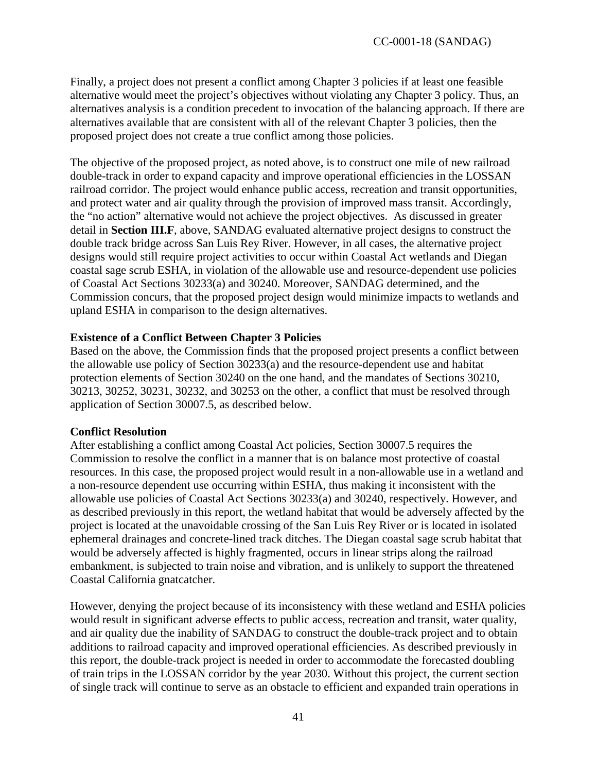Finally, a project does not present a conflict among Chapter 3 policies if at least one feasible alternative would meet the project's objectives without violating any Chapter 3 policy. Thus, an alternatives analysis is a condition precedent to invocation of the balancing approach. If there are alternatives available that are consistent with all of the relevant Chapter 3 policies, then the proposed project does not create a true conflict among those policies.

The objective of the proposed project, as noted above, is to construct one mile of new railroad double-track in order to expand capacity and improve operational efficiencies in the LOSSAN railroad corridor. The project would enhance public access, recreation and transit opportunities, and protect water and air quality through the provision of improved mass transit. Accordingly, the "no action" alternative would not achieve the project objectives. As discussed in greater detail in **Section III.F**, above, SANDAG evaluated alternative project designs to construct the double track bridge across San Luis Rey River. However, in all cases, the alternative project designs would still require project activities to occur within Coastal Act wetlands and Diegan coastal sage scrub ESHA, in violation of the allowable use and resource-dependent use policies of Coastal Act Sections 30233(a) and 30240. Moreover, SANDAG determined, and the Commission concurs, that the proposed project design would minimize impacts to wetlands and upland ESHA in comparison to the design alternatives.

### **Existence of a Conflict Between Chapter 3 Policies**

Based on the above, the Commission finds that the proposed project presents a conflict between the allowable use policy of Section 30233(a) and the resource-dependent use and habitat protection elements of Section 30240 on the one hand, and the mandates of Sections 30210, 30213, 30252, 30231, 30232, and 30253 on the other, a conflict that must be resolved through application of Section 30007.5, as described below.

#### **Conflict Resolution**

After establishing a conflict among Coastal Act policies, Section 30007.5 requires the Commission to resolve the conflict in a manner that is on balance most protective of coastal resources. In this case, the proposed project would result in a non-allowable use in a wetland and a non-resource dependent use occurring within ESHA, thus making it inconsistent with the allowable use policies of Coastal Act Sections 30233(a) and 30240, respectively. However, and as described previously in this report, the wetland habitat that would be adversely affected by the project is located at the unavoidable crossing of the San Luis Rey River or is located in isolated ephemeral drainages and concrete-lined track ditches. The Diegan coastal sage scrub habitat that would be adversely affected is highly fragmented, occurs in linear strips along the railroad embankment, is subjected to train noise and vibration, and is unlikely to support the threatened Coastal California gnatcatcher.

However, denying the project because of its inconsistency with these wetland and ESHA policies would result in significant adverse effects to public access, recreation and transit, water quality, and air quality due the inability of SANDAG to construct the double-track project and to obtain additions to railroad capacity and improved operational efficiencies. As described previously in this report, the double-track project is needed in order to accommodate the forecasted doubling of train trips in the LOSSAN corridor by the year 2030. Without this project, the current section of single track will continue to serve as an obstacle to efficient and expanded train operations in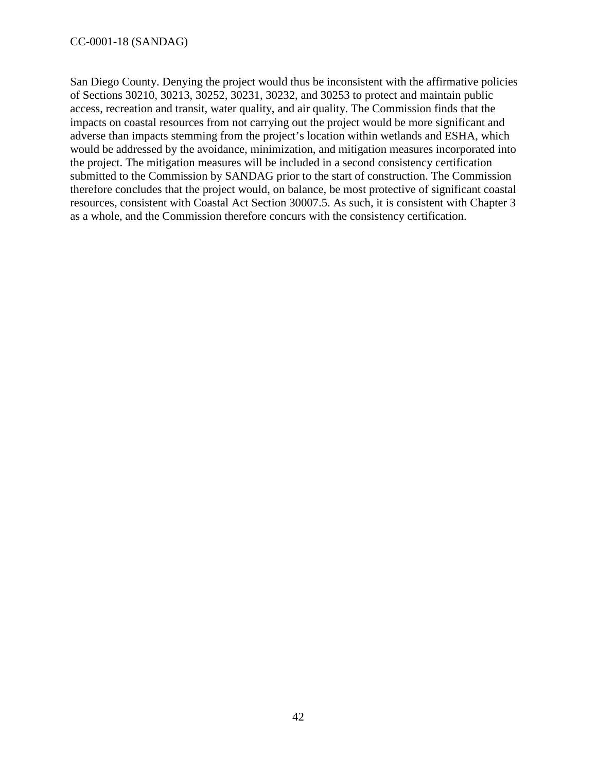San Diego County. Denying the project would thus be inconsistent with the affirmative policies of Sections 30210, 30213, 30252, 30231, 30232, and 30253 to protect and maintain public access, recreation and transit, water quality, and air quality. The Commission finds that the impacts on coastal resources from not carrying out the project would be more significant and adverse than impacts stemming from the project's location within wetlands and ESHA, which would be addressed by the avoidance, minimization, and mitigation measures incorporated into the project. The mitigation measures will be included in a second consistency certification submitted to the Commission by SANDAG prior to the start of construction. The Commission therefore concludes that the project would, on balance, be most protective of significant coastal resources, consistent with Coastal Act Section 30007.5. As such, it is consistent with Chapter 3 as a whole, and the Commission therefore concurs with the consistency certification.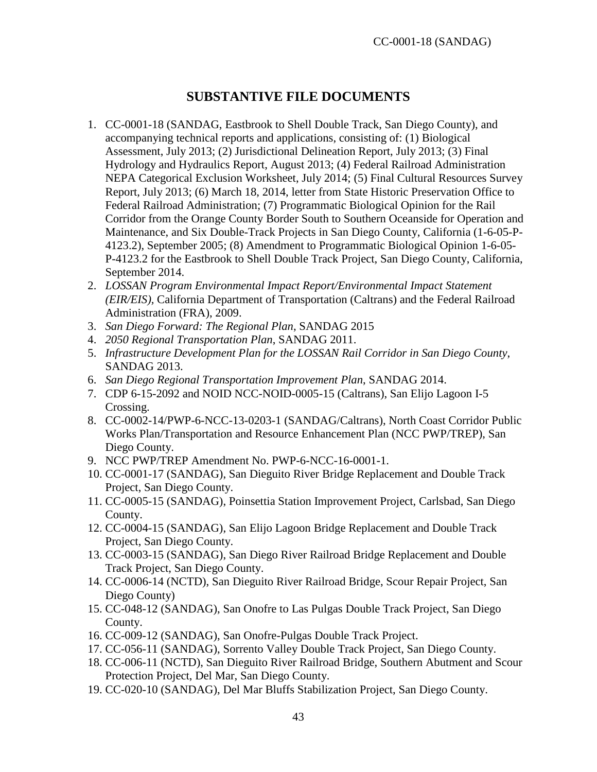### **SUBSTANTIVE FILE DOCUMENTS**

- <span id="page-42-0"></span>1. CC-0001-18 (SANDAG, Eastbrook to Shell Double Track, San Diego County), and accompanying technical reports and applications, consisting of: (1) Biological Assessment, July 2013; (2) Jurisdictional Delineation Report, July 2013; (3) Final Hydrology and Hydraulics Report, August 2013; (4) Federal Railroad Administration NEPA Categorical Exclusion Worksheet, July 2014; (5) Final Cultural Resources Survey Report, July 2013; (6) March 18, 2014, letter from State Historic Preservation Office to Federal Railroad Administration; (7) Programmatic Biological Opinion for the Rail Corridor from the Orange County Border South to Southern Oceanside for Operation and Maintenance, and Six Double-Track Projects in San Diego County, California (1-6-05-P-4123.2), September 2005; (8) Amendment to Programmatic Biological Opinion 1-6-05- P-4123.2 for the Eastbrook to Shell Double Track Project, San Diego County, California, September 2014.
- 2. *LOSSAN Program Environmental Impact Report/Environmental Impact Statement (EIR/EIS),* California Department of Transportation (Caltrans) and the Federal Railroad Administration (FRA), 2009.
- 3. *San Diego Forward: The Regional Plan*, SANDAG 2015
- 4. *2050 Regional Transportation Plan*, SANDAG 2011.
- 5. *Infrastructure Development Plan for the LOSSAN Rail Corridor in San Diego County*, SANDAG 2013.
- 6. *San Diego Regional Transportation Improvement Plan*, SANDAG 2014.
- 7. CDP 6-15-2092 and NOID NCC-NOID-0005-15 (Caltrans), San Elijo Lagoon I-5 Crossing.
- 8. CC-0002-14/PWP-6-NCC-13-0203-1 (SANDAG/Caltrans), North Coast Corridor Public Works Plan/Transportation and Resource Enhancement Plan (NCC PWP/TREP), San Diego County.
- 9. NCC PWP/TREP Amendment No. PWP-6-NCC-16-0001-1.
- 10. CC-0001-17 (SANDAG), San Dieguito River Bridge Replacement and Double Track Project, San Diego County.
- 11. CC-0005-15 (SANDAG), Poinsettia Station Improvement Project, Carlsbad, San Diego County.
- 12. CC-0004-15 (SANDAG), San Elijo Lagoon Bridge Replacement and Double Track Project, San Diego County.
- 13. CC-0003-15 (SANDAG), San Diego River Railroad Bridge Replacement and Double Track Project, San Diego County.
- 14. CC-0006-14 (NCTD), San Dieguito River Railroad Bridge, Scour Repair Project, San Diego County)
- 15. CC-048-12 (SANDAG), San Onofre to Las Pulgas Double Track Project, San Diego County.
- 16. CC-009-12 (SANDAG), San Onofre-Pulgas Double Track Project.
- 17. CC-056-11 (SANDAG), Sorrento Valley Double Track Project, San Diego County.
- 18. CC-006-11 (NCTD), San Dieguito River Railroad Bridge, Southern Abutment and Scour Protection Project, Del Mar, San Diego County.
- 19. CC-020-10 (SANDAG), Del Mar Bluffs Stabilization Project, San Diego County.